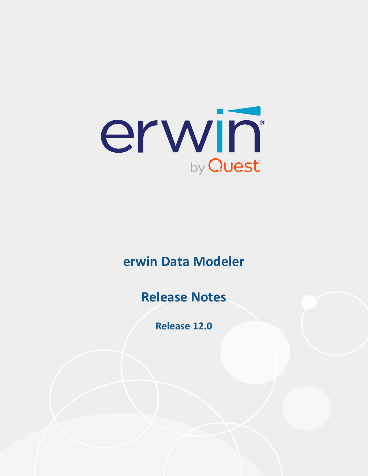

# **erwin Data Modeler**

# **Release Notes**

**Release 12.0**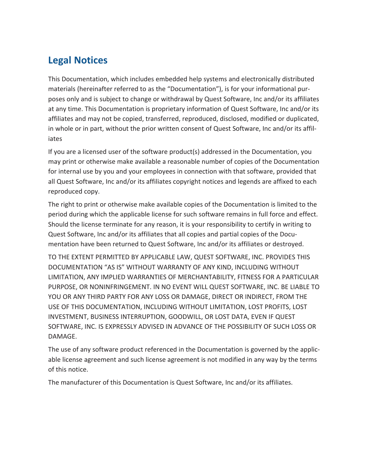# **Legal Notices**

This Documentation, which includes embedded help systems and electronically distributed materials (hereinafter referred to as the "Documentation"), is for your informational purposes only and is subject to change or withdrawal by Quest Software, Inc and/or its affiliates at any time. This Documentation is proprietary information of Quest Software, Inc and/or its affiliates and may not be copied, transferred, reproduced, disclosed, modified or duplicated, in whole or in part, without the prior written consent of Quest Software, Inc and/or its affiliates

If you are a licensed user of the software product(s) addressed in the Documentation, you may print or otherwise make available a reasonable number of copies of the Documentation for internal use by you and your employees in connection with that software, provided that all Quest Software, Inc and/or its affiliates copyright notices and legends are affixed to each reproduced copy.

The right to print or otherwise make available copies of the Documentation is limited to the period during which the applicable license for such software remains in full force and effect. Should the license terminate for any reason, it is your responsibility to certify in writing to Quest Software, Inc and/or its affiliates that all copies and partial copies of the Documentation have been returned to Quest Software, Inc and/or its affiliates or destroyed.

TO THE EXTENT PERMITTED BY APPLICABLE LAW, QUEST SOFTWARE, INC. PROVIDES THIS DOCUMENTATION "AS IS" WITHOUT WARRANTY OF ANY KIND, INCLUDING WITHOUT LIMITATION, ANY IMPLIED WARRANTIES OF MERCHANTABILITY, FITNESS FOR A PARTICULAR PURPOSE, OR NONINFRINGEMENT. IN NO EVENT WILL QUEST SOFTWARE, INC. BE LIABLE TO YOU OR ANY THIRD PARTY FOR ANY LOSS OR DAMAGE, DIRECT OR INDIRECT, FROM THE USE OF THIS DOCUMENTATION, INCLUDING WITHOUT LIMITATION, LOST PROFITS, LOST INVESTMENT, BUSINESS INTERRUPTION, GOODWILL, OR LOST DATA, EVEN IF QUEST SOFTWARE, INC. IS EXPRESSLY ADVISED IN ADVANCE OF THE POSSIBILITY OF SUCH LOSS OR DAMAGE.

The use of any software product referenced in the Documentation is governed by the applicable license agreement and such license agreement is not modified in any way by the terms of this notice.

The manufacturer of this Documentation is Quest Software, Inc and/or its affiliates.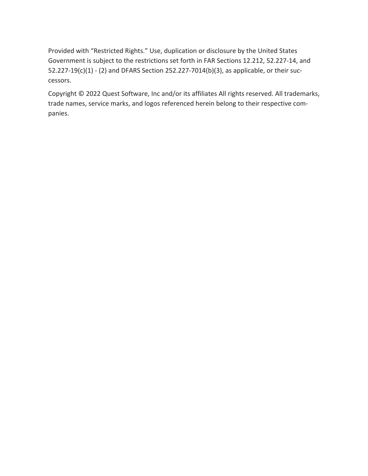Provided with "Restricted Rights." Use, duplication or disclosure by the United States Government is subject to the restrictions set forth in FAR Sections 12.212, 52.227-14, and 52.227-19(c)(1) - (2) and DFARS Section 252.227-7014(b)(3), as applicable, or their successors.

Copyright © 2022 Quest Software, Inc and/or its affiliates All rights reserved. All trademarks, trade names, service marks, and logos referenced herein belong to their respective companies.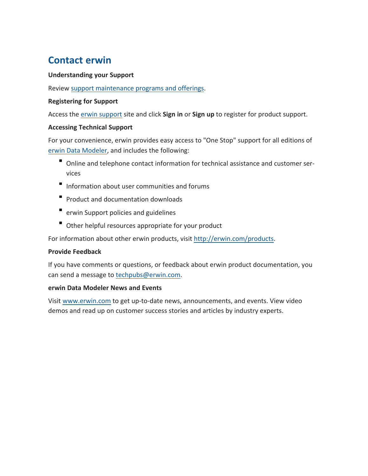# **Contact erwin**

#### **Understanding your Support**

Review support [maintenance](https://support.quest.com/erwin-data-modeler/2021 r2) programs and offerings.

#### **Registering for Support**

Access the erwin [support](https://support.quest.com/erwin-data-modeler/2021 r2) site and click **Sign in** or **Sign up** to register for product support.

#### **Accessing Technical Support**

For your convenience, erwin provides easy access to "One Stop" support for all editions of erwin Data [Modeler](https://support.quest.com/erwin-data-modeler/2021 r2), and includes the following:

- Online and telephone contact information for technical assistance and customer services
- Information about user communities and forums
- **Product and documentation downloads**
- erwin Support policies and guidelines
- Other helpful resources appropriate for your product

For information about other erwin products, visit [http://erwin.com/products](http://erwin.com/products/).

#### **Provide Feedback**

If you have comments or questions, or feedback about erwin product documentation, you can send a message to [techpubs@erwin.com](mailto:techpubs@erwin.com).

#### **erwin Data Modeler News and Events**

Visit [www.erwin.com](http://erwin.com/) to get up-to-date news, announcements, and events. View video demos and read up on customer success stories and articles by industry experts.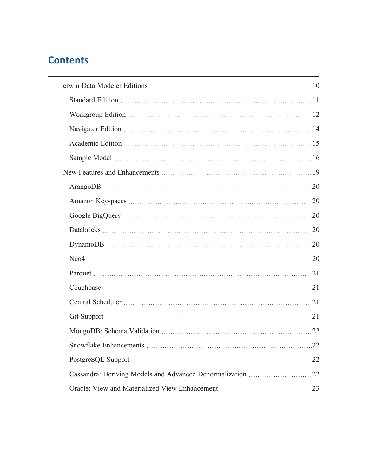# **Contents**

| Databricks 20  |     |
|----------------|-----|
|                |     |
|                |     |
|                |     |
|                |     |
|                |     |
| Git Support 21 |     |
|                |     |
|                |     |
|                | .22 |
|                |     |
|                |     |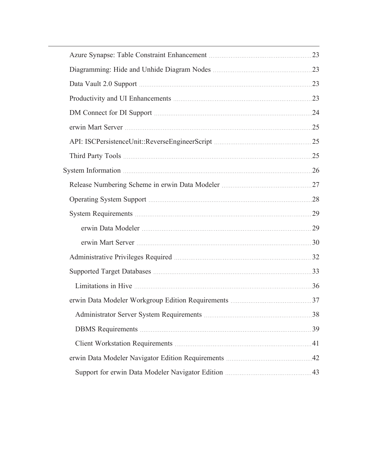| Data Vault 2.0 Support manufacture and all the Case of the Case of the Case of the Case of the Case of the Case of the Case of the Case of the Case of the Case of the Case of the Case of the Case of the Case of the Case of |  |
|--------------------------------------------------------------------------------------------------------------------------------------------------------------------------------------------------------------------------------|--|
|                                                                                                                                                                                                                                |  |
| DM Connect for DI Support manuscripture and 24                                                                                                                                                                                 |  |
|                                                                                                                                                                                                                                |  |
|                                                                                                                                                                                                                                |  |
|                                                                                                                                                                                                                                |  |
|                                                                                                                                                                                                                                |  |
|                                                                                                                                                                                                                                |  |
|                                                                                                                                                                                                                                |  |
|                                                                                                                                                                                                                                |  |
|                                                                                                                                                                                                                                |  |
|                                                                                                                                                                                                                                |  |
|                                                                                                                                                                                                                                |  |
|                                                                                                                                                                                                                                |  |
|                                                                                                                                                                                                                                |  |
|                                                                                                                                                                                                                                |  |
|                                                                                                                                                                                                                                |  |
|                                                                                                                                                                                                                                |  |
|                                                                                                                                                                                                                                |  |
|                                                                                                                                                                                                                                |  |
|                                                                                                                                                                                                                                |  |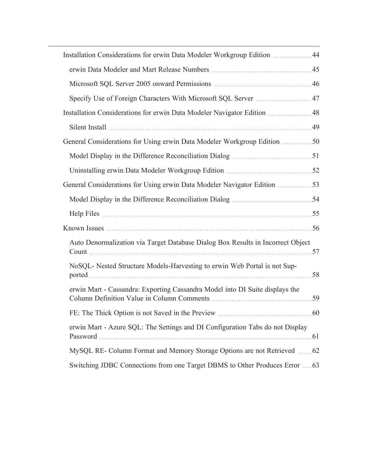| Installation Considerations for erwin Data Modeler Workgroup Edition  44        |  |
|---------------------------------------------------------------------------------|--|
|                                                                                 |  |
|                                                                                 |  |
| Specify Use of Foreign Characters With Microsoft SQL Server 47                  |  |
| Installation Considerations for erwin Data Modeler Navigator Edition 48         |  |
|                                                                                 |  |
|                                                                                 |  |
|                                                                                 |  |
|                                                                                 |  |
|                                                                                 |  |
|                                                                                 |  |
|                                                                                 |  |
|                                                                                 |  |
| Auto Denormalization via Target Database Dialog Box Results in Incorrect Object |  |
| NoSQL- Nested Structure Models-Harvesting to erwin Web Portal is not Sup-       |  |
| erwin Mart - Cassandra: Exporting Cassandra Model into DI Suite displays the    |  |
|                                                                                 |  |
| erwin Mart - Azure SQL: The Settings and DI Configuration Tabs do not Display   |  |
| MySQL RE- Column Format and Memory Storage Options are not Retrieved  62        |  |
| Switching JDBC Connections from one Target DBMS to Other Produces Error  63     |  |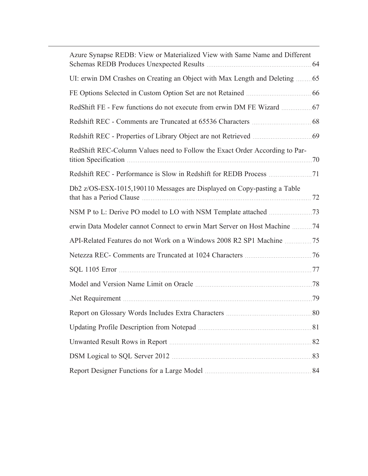| Azure Synapse REDB: View or Materialized View with Same Name and Different  |  |
|-----------------------------------------------------------------------------|--|
| UI: erwin DM Crashes on Creating an Object with Max Length and Deleting  65 |  |
|                                                                             |  |
|                                                                             |  |
|                                                                             |  |
|                                                                             |  |
| RedShift REC-Column Values need to Follow the Exact Order According to Par- |  |
|                                                                             |  |
| Db2 z/OS-ESX-1015,190110 Messages are Displayed on Copy-pasting a Table     |  |
|                                                                             |  |
| erwin Data Modeler cannot Connect to erwin Mart Server on Host Machine 74   |  |
| API-Related Features do not Work on a Windows 2008 R2 SP1 Machine 75        |  |
|                                                                             |  |
|                                                                             |  |
|                                                                             |  |
|                                                                             |  |
|                                                                             |  |
|                                                                             |  |
|                                                                             |  |
|                                                                             |  |
|                                                                             |  |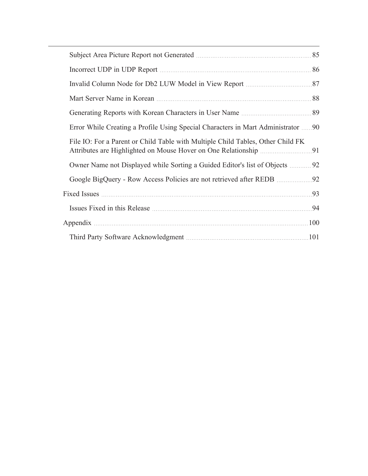| Error While Creating a Profile Using Special Characters in Mart Administrator  90 |  |
|-----------------------------------------------------------------------------------|--|
| File IO: For a Parent or Child Table with Multiple Child Tables, Other Child FK   |  |
| Owner Name not Displayed while Sorting a Guided Editor's list of Objects  92      |  |
|                                                                                   |  |
|                                                                                   |  |
|                                                                                   |  |
|                                                                                   |  |
|                                                                                   |  |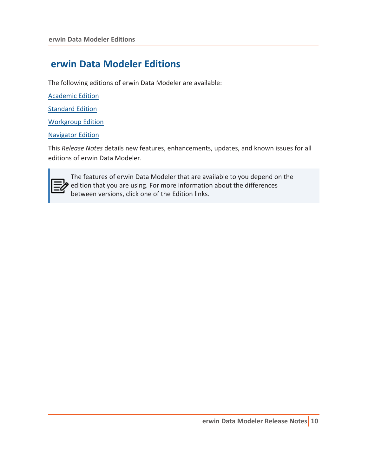# <span id="page-9-0"></span>**erwin Data Modeler Editions**

The following editions of erwin Data Modeler are available:

[Academic](#page-14-0) Edition

**[Standard](#page-10-0) Edition** 

[Workgroup](#page-11-0) Edition

[Navigator](#page-13-0) Edition

This *Release Notes* details new features, enhancements, updates, and known issues for all editions of erwin Data Modeler.



The features of erwin Data Modeler that are available to you depend on the edition that you are using. For more information about the differences between versions, click one of the Edition links.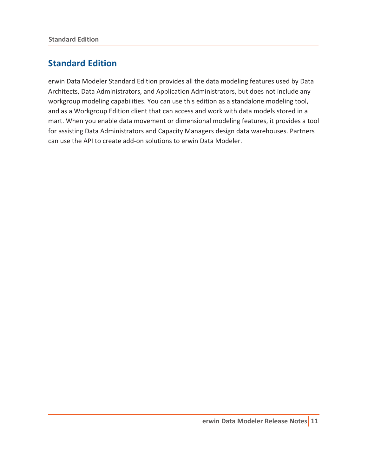# <span id="page-10-0"></span>**Standard Edition**

erwin Data Modeler Standard Edition provides all the data modeling features used by Data Architects, Data Administrators, and Application Administrators, but does not include any workgroup modeling capabilities. You can use this edition as a standalone modeling tool, and as a Workgroup Edition client that can access and work with data models stored in a mart. When you enable data movement or dimensional modeling features, it provides a tool for assisting Data Administrators and Capacity Managers design data warehouses. Partners can use the API to create add-on solutions to erwin Data Modeler.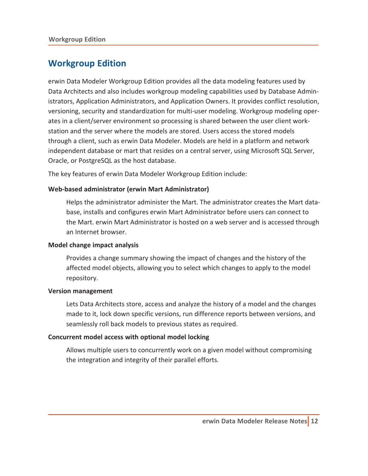### <span id="page-11-0"></span>**Workgroup Edition**

erwin Data Modeler Workgroup Edition provides all the data modeling features used by Data Architects and also includes workgroup modeling capabilities used by Database Administrators, Application Administrators, and Application Owners. It provides conflict resolution, versioning, security and standardization for multi-user modeling. Workgroup modeling operates in a client/server environment so processing is shared between the user client workstation and the server where the models are stored. Users access the stored models through a client, such as erwin Data Modeler. Models are held in a platform and network independent database or mart that resides on a central server, using Microsoft SQL Server, Oracle, or PostgreSQL as the host database.

The key features of erwin Data Modeler Workgroup Edition include:

#### **Web-based administrator (erwin Mart Administrator)**

Helps the administrator administer the Mart. The administrator creates the Mart database, installs and configures erwin Mart Administrator before users can connect to the Mart. erwin Mart Administrator is hosted on a web server and is accessed through an Internet browser.

#### **Model change impact analysis**

Provides a change summary showing the impact of changes and the history of the affected model objects, allowing you to select which changes to apply to the model repository.

#### **Version management**

Lets Data Architects store, access and analyze the history of a model and the changes made to it, lock down specific versions, run difference reports between versions, and seamlessly roll back models to previous states as required.

#### **Concurrent model access with optional model locking**

Allows multiple users to concurrently work on a given model without compromising the integration and integrity of their parallel efforts.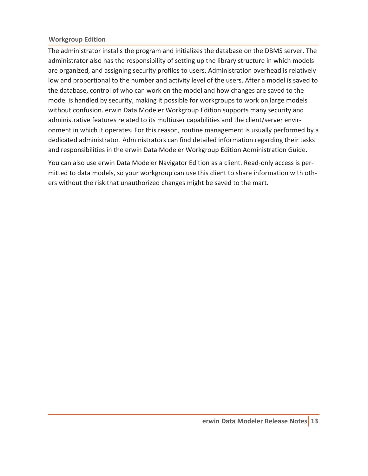#### **Workgroup Edition**

The administrator installs the program and initializes the database on the DBMS server. The administrator also has the responsibility of setting up the library structure in which models are organized, and assigning security profiles to users. Administration overhead is relatively low and proportional to the number and activity level of the users. After a model is saved to the database, control of who can work on the model and how changes are saved to the model is handled by security, making it possible for workgroups to work on large models without confusion. erwin Data Modeler Workgroup Edition supports many security and administrative features related to its multiuser capabilities and the client/server environment in which it operates. For this reason, routine management is usually performed by a dedicated administrator. Administrators can find detailed information regarding their tasks and responsibilities in the erwin Data Modeler Workgroup Edition Administration Guide.

You can also use erwin Data Modeler Navigator Edition as a client. Read-only access is permitted to data models, so your workgroup can use this client to share information with others without the risk that unauthorized changes might be saved to the mart.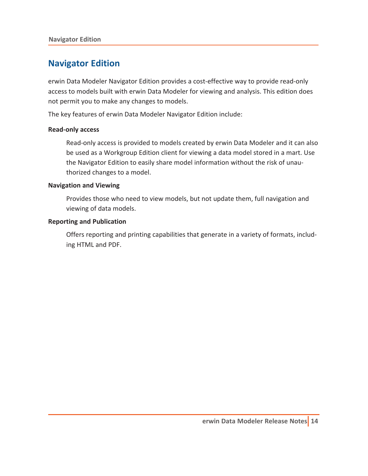### <span id="page-13-0"></span>**Navigator Edition**

erwin Data Modeler Navigator Edition provides a cost-effective way to provide read-only access to models built with erwin Data Modeler for viewing and analysis. This edition does not permit you to make any changes to models.

The key features of erwin Data Modeler Navigator Edition include:

#### **Read-only access**

Read-only access is provided to models created by erwin Data Modeler and it can also be used as a Workgroup Edition client for viewing a data model stored in a mart. Use the Navigator Edition to easily share model information without the risk of unauthorized changes to a model.

#### **Navigation and Viewing**

Provides those who need to view models, but not update them, full navigation and viewing of data models.

#### **Reporting and Publication**

Offers reporting and printing capabilities that generate in a variety of formats, including HTML and PDF.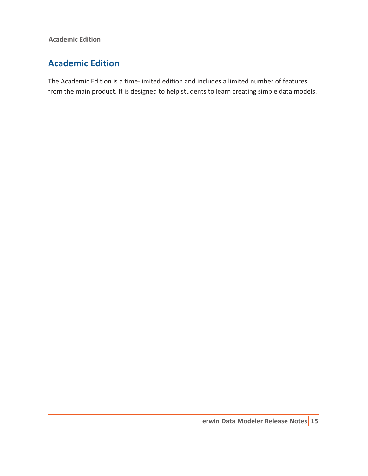### <span id="page-14-0"></span>**Academic Edition**

The Academic Edition is a time-limited edition and includes a limited number of features from the main product. It is designed to help students to learn creating simple data models.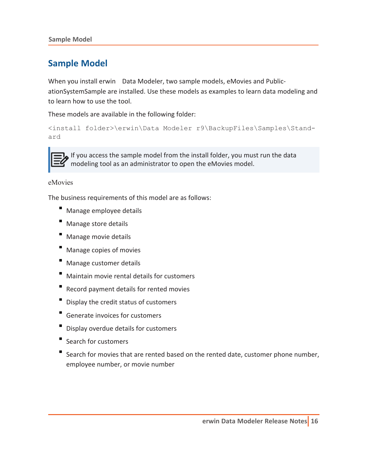<span id="page-15-0"></span>**Sample Model**

### **Sample Model**

When you install erwin Data Modeler, two sample models, eMovies and PublicationSystemSample are installed. Use these models as examples to learn data modeling and to learn how to use the tool.

These models are available in the following folder:

```
<install folder>\erwin\Data Modeler r9\BackupFiles\Samples\Stand-
ard
```


If you access the sample model from the install folder, you must run the data modeling tool as an administrator to open the eMovies model.

#### eMovies

The business requirements of this model are as follows:

- Manage employee details
- Manage store details
- Manage movie details
- Manage copies of movies
- Manage customer details
- Maintain movie rental details for customers
- Record payment details for rented movies
- Display the credit status of customers
- Generate invoices for customers
- Display overdue details for customers
- Search for customers
- Search for movies that are rented based on the rented date, customer phone number, employee number, or movie number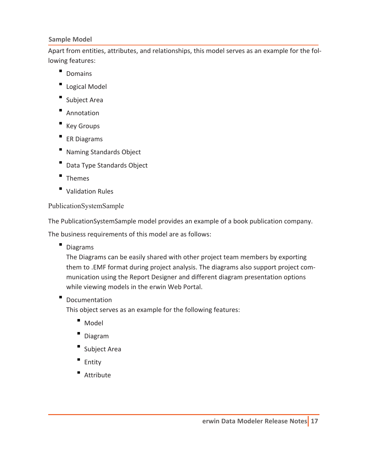#### **Sample Model**

Apart from entities, attributes, and relationships, this model serves as an example for the following features:

- Domains
- **Logical Model**
- Subject Area
- **Annotation**
- Key Groups
- **ER Diagrams**
- **Naming Standards Object**
- Data Type Standards Object
- **Themes**
- Validation Rules

#### PublicationSystemSample

The PublicationSystemSample model provides an example of a book publication company.

The business requirements of this model are as follows:

Diagrams

The Diagrams can be easily shared with other project team members by exporting them to .EMF format during project analysis. The diagrams also support project communication using the Report Designer and different diagram presentation options while viewing models in the erwin Web Portal.

Documentation

This object serves as an example for the following features:

- Model
- Diagram
- Subject Area
- Entity
- Attribute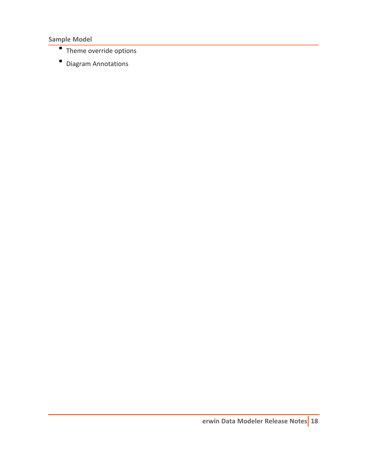**Sample Model**

- Theme override options
- Diagram Annotations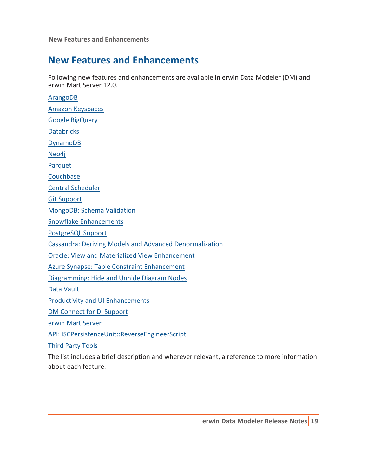# <span id="page-18-0"></span>**New Features and Enhancements**

Following new features and enhancements are available in erwin Data Modeler (DM) and erwin Mart Server 12.0.

[ArangoDB](#page-19-0) Amazon [Keyspaces](#page-19-1) Google [BigQuery](#page-19-2) [Databricks](#page-19-3) [DynamoDB](#page-19-4) [Neo4j](#page-19-5) [Parquet](#page-20-0) **[Couchbase](#page-20-1)** Central [Scheduler](#page-20-2) Git [Support](#page-20-3) [MongoDB:](#page-21-0) Schema Validation Snowflake [Enhancements](#page-21-1) [PostgreSQL](#page-21-2) Support Cassandra: Deriving Models and Advanced [Denormalization](#page-21-3) Oracle: View and Materialized View [Enhancement](#page-22-0) Azure Synapse: Table Constraint [Enhancement](#page-22-1) [Diagramming:](#page-22-2) Hide and Unhide Diagram Nodes Data [Vault](#page-22-3) Productivity and UI [Enhancements](#page-22-4) DM [Connect](#page-23-0) for DI Support erwin Mart [Server](#page-24-0) API: [ISCPersistenceUnit::ReverseEngineerScript](#page-24-1) Third Party [Tools](#page-24-2)

The list includes a brief description and wherever relevant, a reference to more information about each feature.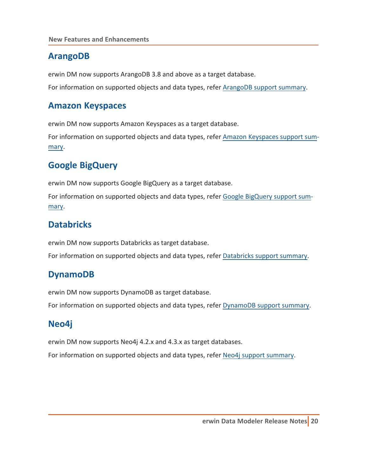### <span id="page-19-0"></span>**ArangoDB**

erwin DM now supports ArangoDB 3.8 and above as a target database.

<span id="page-19-1"></span>For information on supported objects and data types, refer [ArangoDB](https://bookshelf.erwin.com/bookshelf/public_html/12.0/Content/User Guides/erwin Help/ArangoDB_Support_Summary.html) support summary.

### **Amazon Keyspaces**

erwin DM now supports Amazon Keyspaces as a target database.

<span id="page-19-2"></span>For information on supported objects and data types, refer [Amazon Keyspaces](https://bookshelf.erwin.com/bookshelf/public_html/12.0/Content/User Guides/erwin Help/AWS_Keyspaces_Support_Summary.html) support sum[mary](https://bookshelf.erwin.com/bookshelf/public_html/12.0/Content/User Guides/erwin Help/AWS_Keyspaces_Support_Summary.html).

# **Google BigQuery**

erwin DM now supports Google BigQuery as a target database.

<span id="page-19-3"></span>For information on supported objects and data types, refer Google [BigQuery](https://bookshelf.erwin.com/bookshelf/public_html/12.0/Content/User Guides/erwin Help/Google_BigQuery_Support_Summary.html) support sum[mary](https://bookshelf.erwin.com/bookshelf/public_html/12.0/Content/User Guides/erwin Help/Google_BigQuery_Support_Summary.html).

### **Databricks**

erwin DM now supports Databricks as target database. For information on supported objects and data types, refer [Databricks](https://bookshelf.erwin.com/bookshelf/public_html/12.0/Content/User Guides/erwin Help/Databricks_Support_Summary.html) support summary.

# <span id="page-19-4"></span>**DynamoDB**

erwin DM now supports DynamoDB as target database. For information on supported objects and data types, refer [DynamoDB](https://bookshelf.erwin.com/bookshelf/public_html/12.0/Content/User Guides/erwin Help/DynamoDB_Support_Summary.html) support summary.

# <span id="page-19-5"></span>**Neo4j**

erwin DM now supports Neo4j 4.2.x and 4.3.x as target databases.

For information on supported objects and data types, refer Neo4j support [summary](https://bookshelf.erwin.com/bookshelf/public_html/12.0/Content/User Guides/erwin Help/Neo4j_Support_Summary.html).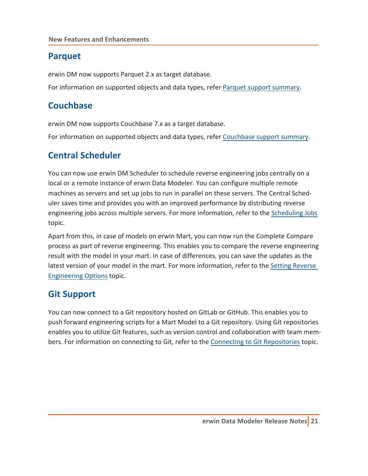### <span id="page-20-0"></span>**Parquet**

erwin DM now supports Parquet 2.x as target database.

<span id="page-20-1"></span>For information on supported objects and data types, refer Parquet support [summary.](https://bookshelf.erwin.com/bookshelf/public_html/12.0/Content/User Guides/erwin Help/Parquet_Support_Summary.html)

### **Couchbase**

erwin DM now supports Couchbase 7.x as a target database.

<span id="page-20-2"></span>For information on supported objects and data types, refer [Couchbase](https://bookshelf.erwin.com/bookshelf/public_html/12.0/Content/User Guides/erwin Help/Couchbase_Support_Summary.html) support summary.

### **Central Scheduler**

You can now use erwin DM Scheduler to schedule reverse engineering jobs centrally on a local or a remote instance of erwin Data Modeler. You can configure multiple remote machines as servers and set up jobs to run in parallel on these servers. The Central Scheduler saves time and provides you with an improved performance by distributing reverse engineering jobs across multiple servers. For more information, refer to the [Scheduling](https://bookshelf.erwin.com/bookshelf/public_html/12.0/Content/Tools/Scheduler/Scheduling_Jobs.html) Jobs topic.

Apart from this, in case of models on erwin Mart, you can now run the Complete Compare process as part of reverse engineering. This enables you to compare the reverse engineering result with the model in your mart. In case of differences, you can save the updates as the latest version of your model in the mart. For more information, refer to the Setting [Reverse](https://bookshelf.erwin.com/bookshelf/public_html/12.0/Content/Tools/Scheduler/Setting_Reverse_Engineering_Options.html) [Engineering](https://bookshelf.erwin.com/bookshelf/public_html/12.0/Content/Tools/Scheduler/Setting_Reverse_Engineering_Options.html) Options topic.

### <span id="page-20-3"></span>**Git Support**

You can now connect to a Git repository hosted on GitLab or GitHub. This enables you to push forward engineering scripts for a Mart Model to a Git repository. Using Git repositories enables you to utilize Git features, such as version control and collaboration with team members. For information on connecting to Git, refer to the Connecting to Git [Repositories](https://bookshelf.erwin.com/bookshelf/public_html/12.0/Content/User Guides/erwin Help/Connecting_to_GitRepositories.html) topic.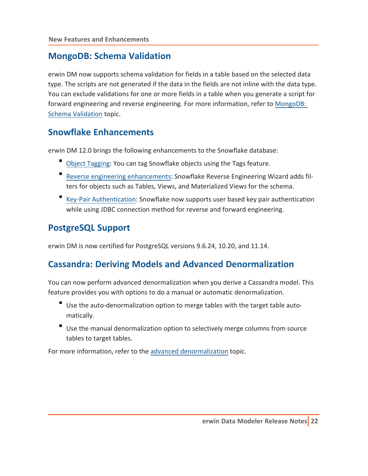### <span id="page-21-0"></span>**MongoDB: Schema Validation**

erwin DM now supports schema validation for fields in a table based on the selected data type. The scripts are not generated if the data in the fields are not inline with the data type. You can exclude validations for one or more fields in a table when you generate a script for forward engineering and reverse engineering. For more information, refer to [MongoDB:](https://bookshelf.erwin.com/bookshelf/public_html/12.0/Content/User Guides/erwin Help/MongoDB_Schema_Validation.html) Schema [Validation](https://bookshelf.erwin.com/bookshelf/public_html/12.0/Content/User Guides/erwin Help/MongoDB_Schema_Validation.html) topic.

#### <span id="page-21-1"></span>**Snowflake Enhancements**

erwin DM 12.0 brings the following enhancements to the Snowflake database:

- Object [Tagging:](https://bookshelf.erwin.com/bookshelf/public_html/12.0/Content/User Guides/erwin Help/Defining_Snowflake_Tags.html) You can tag Snowflake objects using the Tags feature.
- Reverse engineering [enhancements:](https://bookshelf.erwin.com/bookshelf/public_html/12.0/Content/User Guides/erwin Help/Reverse_Engineering_Options_Snowflake.html) Snowflake Reverse Engineering Wizard adds filters for objects such as Tables, Views, and Materialized Views for the schema.
- Key-Pair [Authentication](https://bookshelf.erwin.com/bookshelf/public_html/12.0/Content/User Guides/erwin Help/Snowflake_Key-Pair_Authentication.html): Snowflake now supports user based key pair authentication while using JDBC connection method for reverse and forward engineering.

### <span id="page-21-2"></span>**PostgreSQL Support**

<span id="page-21-3"></span>erwin DM is now certified for PostgreSQL versions 9.6.24, 10.20, and 11.14.

### **Cassandra: Deriving Models and Advanced Denormalization**

You can now perform advanced denormalization when you derive a Cassandra model. This feature provides you with options to do a manual or automatic denormalization.

- Use the auto-denormalization option to merge tables with the target table automatically.
- Use the manual denormalization option to selectively merge columns from source tables to target tables.

For more information, refer to the advanced [denormalization](https://bookshelf.erwin.com/bookshelf/public_html/12.0/Content/User Guides/erwin Help/Advanced_Denormalization_Options_for_Cassandra.html) topic.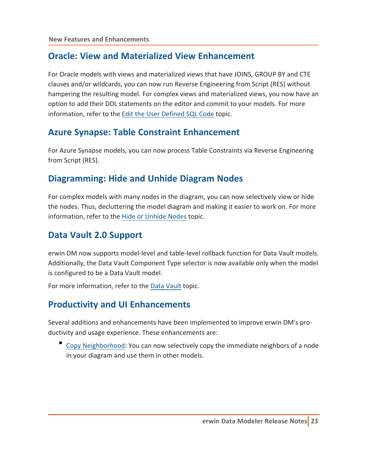### <span id="page-22-0"></span>**Oracle: View and Materialized View Enhancement**

For Oracle models with views and materialized views that have JOINS, GROUP BY and CTE clauses and/or wildcards, you can now run Reverse Engineering from Script (RES) without hampering the resulting model. For complex views and materialized views, you now have an option to add their DDL statements on the editor and commit to your models. For more information, refer to the Edit the User [Defined](https://bookshelf.erwin.com/bookshelf/public_html/12.0/Content/User Guides/erwin Help/Edit_the_User_Defined_SQL_Code.html) SQL Code topic.

#### <span id="page-22-1"></span>**Azure Synapse: Table Constraint Enhancement**

<span id="page-22-2"></span>For Azure Synapse models, you can now process Table Constraints via Reverse Engineering from Script (RES).

### **Diagramming: Hide and Unhide Diagram Nodes**

For complex models with many nodes in the diagram, you can now selectively view or hide the nodes. Thus, decluttering the model diagram and making it easier to work on. For more information, refer to the Hide or [Unhide](https://bookshelf.erwin.com/bookshelf/public_html/12.0/Content/User Guides/erwin Help/Hide_or_Unhide_Nodes_to_the_Diagram.html) Nodes topic.

### <span id="page-22-3"></span>**Data Vault 2.0 Support**

erwin DM now supports model-level and table-level rollback function for Data Vault models. Additionally, the Data Vault Component Type selector is now available only when the model is configured to be a Data Vault model.

<span id="page-22-4"></span>For more information, refer to the Data [Vault](https://bookshelf.erwin.com/bookshelf/public_html/12.0/Content/User Guides/erwin Help/Converting_Models_DataVault.html) topic.

### **Productivity and UI Enhancements**

Several additions and enhancements have been implemented to improve erwin DM's productivity and usage experience. These enhancements are:

Copy [Neighborhood:](https://bookshelf.erwin.com/bookshelf/public_html/12.0/Content/User Guides/erwin Help/copy_neighbourhood_to_different_model.html) You can now selectively copy the immediate neighbors of a node in your diagram and use them in other models.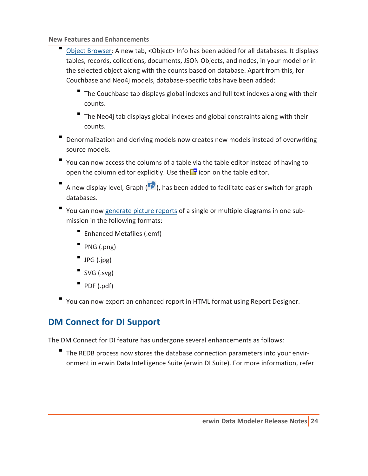**New Features and Enhancements**

- Object [Browser:](https://bookshelf.erwin.com/bookshelf/public_html/12.0/Content/User Guides/erwin Help/Object_Browser.html) A new tab, <Object> Info has been added for all databases. It displays tables, records, collections, documents, JSON Objects, and nodes, in your model or in the selected object along with the counts based on database. Apart from this, for Couchbase and Neo4j models, database-specific tabs have been added:
	- The Couchbase tab displays global indexes and full text indexes along with their counts.
	- The Neo4j tab displays global indexes and global constraints along with their counts.
- Denormalization and deriving models now creates new models instead of overwriting source models.
- You can now access the columns of a table via the table editor instead of having to open the column editor explicitly. Use the  $\mathbf{F}$  icon on the table editor.
- A new display level, Graph ( $\blacktriangleright$ ), has been added to facilitate easier switch for graph databases.
- You can now [generate](https://bookshelf.erwin.com/bookshelf/public_html/12.0/Content/User Guides/erwin Help/generate_multiple_diagram_pictures.html) picture reports of a single or multiple diagrams in one submission in the following formats:
	- Enhanced Metafiles (.emf)
	- PNG (.png)
	- JPG (.jpg)
	- $SVG$  (.svg)
	- $PDF (.pdf)$
- <span id="page-23-0"></span>You can now export an enhanced report in HTML format using Report Designer.

# **DM Connect for DI Support**

The DM Connect for DI feature has undergone several enhancements as follows:

The REDB process now stores the database connection parameters into your environment in erwin Data Intelligence Suite (erwin DI Suite). For more information, refer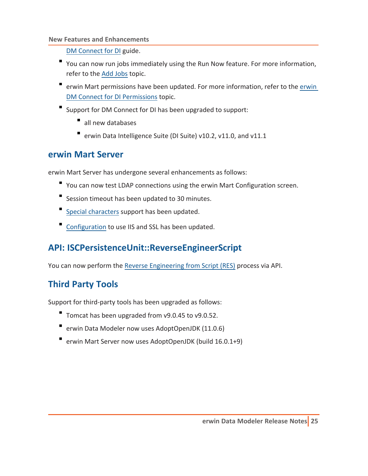#### **New Features and Enhancements**

DM [Connect](https://bookshelf.erwin.com/bookshelf/public_html/12.0/Content/Tools/DM Connect for DI/Scenario Schedule Jobs.html) for DI guide.

- You can now run jobs immediately using the Run Now feature. For more information, refer to the Add [Jobs](https://bookshelf.erwin.com/bookshelf/public_html/12.0/Content/User Guides/Mart Online Help/schedule_job_dmconnectdi.html) topic.
- **•** [erwin](https://bookshelf.erwin.com/bookshelf/public_html/12.0/Content/User Guides/Mart Online Help/dmconnectdi_permissions.html) Mart permissions have been updated. For more information, refer to the erwin DM Connect for DI [Permissions](https://bookshelf.erwin.com/bookshelf/public_html/12.0/Content/User Guides/Mart Online Help/dmconnectdi_permissions.html) topic.
- Support for DM Connect for DI has been upgraded to support:
	- all new databases
	- erwin Data Intelligence Suite (DI Suite) v10.2, v11.0, and v11.1

#### <span id="page-24-0"></span>**erwin Mart Server**

erwin Mart Server has undergone several enhancements as follows:

- You can now test LDAP connections using the erwin Mart Configuration screen.
- Session timeout has been updated to 30 minutes.
- Special [characters](https://bookshelf.erwin.com/bookshelf/public_html/12.0/Content/User Guides/Mart Online Help/Character Limitations.html) support has been updated.
- <span id="page-24-1"></span>[Configuration](https://bookshelf.erwin.com/bookshelf/public_html/12.0/Content/Installation/erwin Mart Server/deploy_mart_server.html#ConfigureMartAdmin) to use IIS and SSL has been updated.

# **API: ISCPersistenceUnit::ReverseEngineerScript**

<span id="page-24-2"></span>You can now perform the Reverse [Engineering](https://bookshelf.erwin.com/bookshelf/public_html/12.0/Content/References/API Reference/ISCPersistenceUnit--ReverseEngineerScript.html) from Script (RES) process via API.

# **Third Party Tools**

Support for third-party tools has been upgraded as follows:

- Tomcat has been upgraded from v9.0.45 to v9.0.52.
- erwin Data Modeler now uses AdoptOpenJDK (11.0.6)
- erwin Mart Server now uses AdoptOpenJDK (build 16.0.1+9)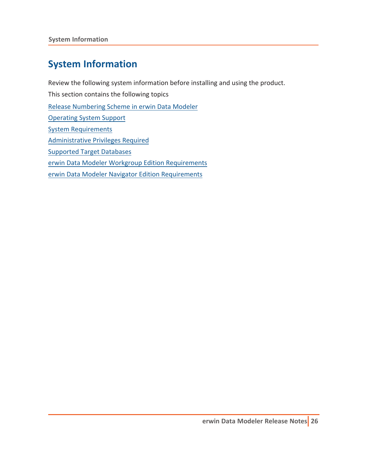# <span id="page-25-0"></span>**System Information**

Review the following system information before installing and using the product. This section contains the following topics Release [Numbering](#page-26-0) Scheme in erwin Data Modeler [Operating](#page-27-0) System Support System [Requirements](#page-28-0) [Administrative](#page-31-0) Privileges Required [Supported](#page-32-0) Target Databases erwin Data Modeler Workgroup Edition [Requirements](#page-36-0) erwin Data Modeler Navigator Edition [Requirements](#page-41-0)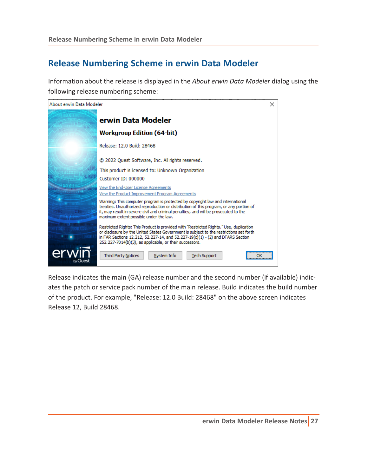### <span id="page-26-0"></span>**Release Numbering Scheme in erwin Data Modeler**

Information about the release is displayed in the *About erwin Data Modeler* dialog using the following release numbering scheme:



Release indicates the main (GA) release number and the second number (if available) indicates the patch or service pack number of the main release. Build indicates the build number of the product. For example, "Release: 12.0 Build: 28468" on the above screen indicates Release 12, Build 28468.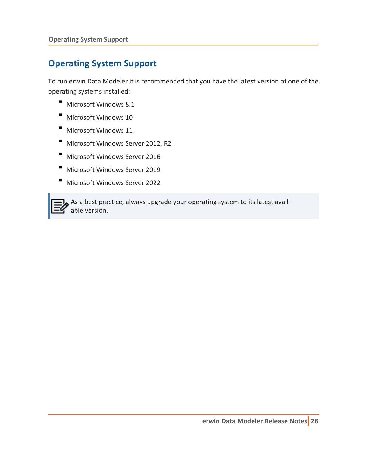### <span id="page-27-0"></span>**Operating System Support**

To run erwin Data Modeler it is recommended that you have the latest version of one of the operating systems installed:

- Microsoft Windows 8.1
- Microsoft Windows 10
- Microsoft Windows 11
- Microsoft Windows Server 2012, R2
- Microsoft Windows Server 2016
- Microsoft Windows Server 2019
- Microsoft Windows Server 2022



As a best practice, always upgrade your operating system to its latest available version.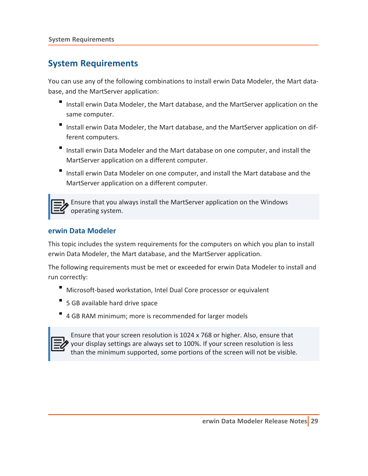### <span id="page-28-0"></span>**System Requirements**

You can use any of the following combinations to install erwin Data Modeler, the Mart database, and the MartServer application:

- Install erwin Data Modeler, the Mart database, and the MartServer application on the same computer.
- Install erwin Data Modeler, the Mart database, and the MartServer application on different computers.
- Install erwin Data Modeler and the Mart database on one computer, and install the MartServer application on a different computer.
- Install erwin Data Modeler on one computer, and install the Mart database and the MartServer application on a different computer.



Ensure that you always install the MartServer application on the Windows operating system.

#### <span id="page-28-1"></span>**erwin Data Modeler**

This topic includes the system requirements for the computers on which you plan to install erwin Data Modeler, the Mart database, and the MartServer application.

The following requirements must be met or exceeded for erwin Data Modeler to install and run correctly:

- Microsoft-based workstation, Intel Dual Core processor or equivalent
- 5 GB available hard drive space
- 4 GB RAM minimum; more is recommended for larger models



Ensure that your screen resolution is 1024 x 768 or higher. Also, ensure that your display settings are always set to 100%. If your screen resolution is less than the minimum supported, some portions of the screen will not be visible.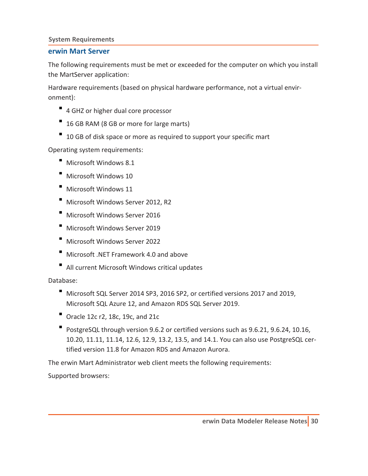#### <span id="page-29-0"></span>**System Requirements**

#### **erwin Mart Server**

The following requirements must be met or exceeded for the computer on which you install the MartServer application:

Hardware requirements (based on physical hardware performance, not a virtual environment):

- <sup>1</sup> 4 GHZ or higher dual core processor
- 16 GB RAM (8 GB or more for large marts)
- <sup>1</sup> 10 GB of disk space or more as required to support your specific mart

Operating system requirements:

- Microsoft Windows 8.1
- Microsoft Windows 10
- Microsoft Windows 11
- Microsoft Windows Server 2012, R2
- Microsoft Windows Server 2016
- Microsoft Windows Server 2019
- Microsoft Windows Server 2022
- Microsoft .NET Framework 4.0 and above
- All current Microsoft Windows critical updates

Database:

- Microsoft SQL Server 2014 SP3, 2016 SP2, or certified versions 2017 and 2019, Microsoft SQL Azure 12, and Amazon RDS SQL Server 2019.
- Oracle 12c r2, 18c, 19c, and 21c
- PostgreSQL through version 9.6.2 or certified versions such as 9.6.21, 9.6.24, 10.16, 10.20, 11.11, 11.14, 12.6, 12.9, 13.2, 13.5, and 14.1. You can also use PostgreSQL certified version 11.8 for Amazon RDS and Amazon Aurora.

The erwin Mart Administrator web client meets the following requirements:

Supported browsers: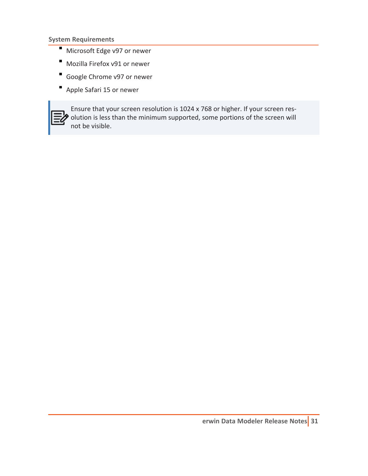**System Requirements**

- Microsoft Edge v97 or newer
- Mozilla Firefox v91 or newer
- Google Chrome v97 or newer
- Apple Safari 15 or newer



Ensure that your screen resolution is 1024 x 768 or higher. If your screen res- $\bullet$  olution is less than the minimum supported, some portions of the screen will not be visible.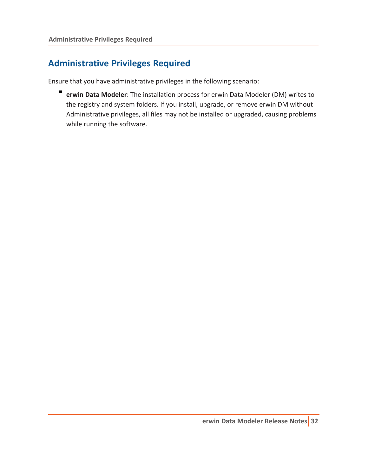### <span id="page-31-0"></span>**Administrative Privileges Required**

Ensure that you have administrative privileges in the following scenario:

**erwin Data Modeler**: The installation process for erwin Data Modeler (DM) writes to the registry and system folders. If you install, upgrade, or remove erwin DM without Administrative privileges, all files may not be installed or upgraded, causing problems while running the software.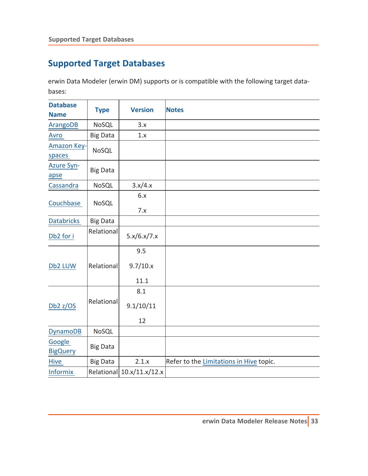# <span id="page-32-0"></span>**Supported Target Databases**

erwin Data Modeler (erwin DM) supports or is compatible with the following target databases:

| <b>Database</b><br><b>Name</b> | <b>Type</b>     | <b>Version</b>            | <b>Notes</b>                            |
|--------------------------------|-----------------|---------------------------|-----------------------------------------|
| <b>ArangoDB</b>                | NoSQL           | 3.x                       |                                         |
| Avro                           | <b>Big Data</b> | 1.x                       |                                         |
| <b>Amazon Key-</b><br>spaces   | NoSQL           |                           |                                         |
| <b>Azure Syn-</b><br>apse      | <b>Big Data</b> |                           |                                         |
| Cassandra                      | NoSQL           | 3.x/4.x                   |                                         |
| Couchbase                      | NoSQL           | 6.x<br>7.x                |                                         |
| <b>Databricks</b>              | <b>Big Data</b> |                           |                                         |
| Db2 for i                      | Relational      | 5.x/6.x/7.x               |                                         |
| Db2 LUW                        | Relational      | 9.5<br>9.7/10.x<br>11.1   |                                         |
| Db <sub>2</sub> z/OS           | Relational      | 8.1<br>9.1/10/11<br>12    |                                         |
| <b>DynamoDB</b>                | NoSQL           |                           |                                         |
| Google<br><b>BigQuery</b>      | <b>Big Data</b> |                           |                                         |
| Hive                           | <b>Big Data</b> | 2.1.x                     | Refer to the Limitations in Hive topic. |
| <b>Informix</b>                |                 | Relational 10.x/11.x/12.x |                                         |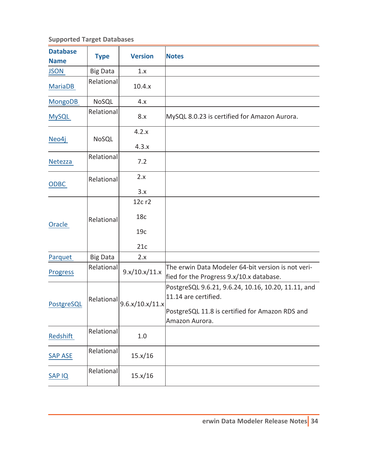#### **Supported Target Databases**

| <b>Database</b><br><b>Name</b> | <b>Type</b>     | <b>Version</b>  | <b>Notes</b>                                                                                                                   |
|--------------------------------|-----------------|-----------------|--------------------------------------------------------------------------------------------------------------------------------|
| <b>JSON</b>                    | <b>Big Data</b> | 1.x             |                                                                                                                                |
| <b>MariaDB</b>                 | Relational      | 10.4.x          |                                                                                                                                |
| <b>MongoDB</b>                 | NoSQL           | 4.x             |                                                                                                                                |
| <b>MySQL</b>                   | Relational      | 8.x             | MySQL 8.0.23 is certified for Amazon Aurora.                                                                                   |
| Neo4j                          | NoSQL           | 4.2.x           |                                                                                                                                |
|                                |                 | 4.3.x           |                                                                                                                                |
| Netezza                        | Relational      | 7.2             |                                                                                                                                |
| <b>ODBC</b>                    | Relational      | 2.x             |                                                                                                                                |
|                                |                 | 3.x             |                                                                                                                                |
|                                |                 | 12c r2          |                                                                                                                                |
| Oracle                         | Relational      | 18 <sub>c</sub> |                                                                                                                                |
|                                |                 | 19c             |                                                                                                                                |
|                                |                 | 21c             |                                                                                                                                |
| Parquet                        | <b>Big Data</b> | 2.x             |                                                                                                                                |
| <b>Progress</b>                | Relational      | 9.x/10.x/11.x   | The erwin Data Modeler 64-bit version is not veri-<br>fied for the Progress 9.x/10.x database.                                 |
| PostgreSQL                     | Relational      | 9.6.x/10.x/11.x | PostgreSQL 9.6.21, 9.6.24, 10.16, 10.20, 11.11, and<br>11.14 are certified.<br>PostgreSQL 11.8 is certified for Amazon RDS and |
|                                |                 |                 | Amazon Aurora.                                                                                                                 |
| Redshift                       | Relational      | $1.0$           |                                                                                                                                |
| <b>SAP ASE</b>                 | Relational      | 15.x/16         |                                                                                                                                |
| <b>SAPIQ</b>                   | Relational      | 15.x/16         |                                                                                                                                |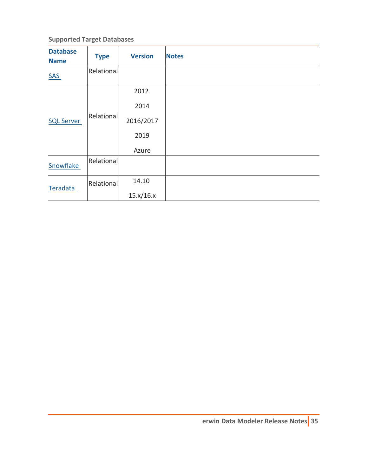#### **Supported Target Databases**

| <b>Database</b><br><b>Name</b> | <b>Type</b> | <b>Version</b> | <b>Notes</b> |
|--------------------------------|-------------|----------------|--------------|
| <b>SAS</b>                     | Relational  |                |              |
| <b>SQL Server</b>              |             | 2012           |              |
|                                | Relational  | 2014           |              |
|                                |             | 2016/2017      |              |
|                                |             | 2019           |              |
|                                |             | Azure          |              |
| Snowflake                      | Relational  |                |              |
| Teradata                       | Relational  | 14.10          |              |
|                                |             | 15.x/16.x      |              |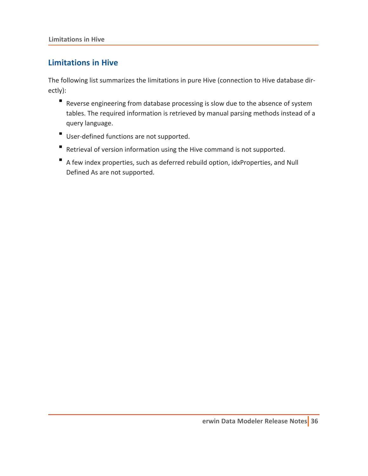#### <span id="page-35-0"></span>**Limitations in Hive**

The following list summarizes the limitations in pure Hive (connection to Hive database directly):

- Reverse engineering from database processing is slow due to the absence of system tables. The required information is retrieved by manual parsing methods instead of a query language.
- User-defined functions are not supported.
- Retrieval of version information using the Hive command is not supported.
- A few index properties, such as deferred rebuild option, idxProperties, and Null Defined As are not supported.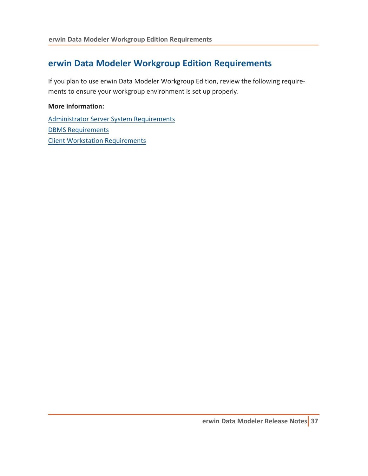#### **erwin Data Modeler Workgroup Edition Requirements**

If you plan to use erwin Data Modeler Workgroup Edition, review the following requirements to ensure your workgroup environment is set up properly.

#### **More information:**

Administrator Server System [Requirements](#page-37-0) DBMS [Requirements](#page-38-0) Client Workstation [Requirements](#page-40-0)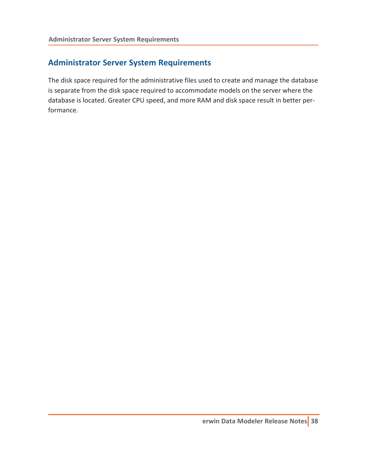#### <span id="page-37-0"></span>**Administrator Server System Requirements**

The disk space required for the administrative files used to create and manage the database is separate from the disk space required to accommodate models on the server where the database is located. Greater CPU speed, and more RAM and disk space result in better performance.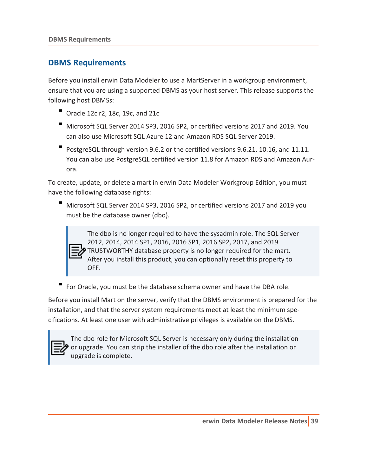#### <span id="page-38-0"></span>**DBMS Requirements**

Before you install erwin Data Modeler to use a MartServer in a workgroup environment, ensure that you are using a supported DBMS as your host server. This release supports the following host DBMSs:

- Oracle 12c r2, 18c, 19c, and 21c
- Microsoft SQL Server 2014 SP3, 2016 SP2, or certified versions 2017 and 2019. You can also use Microsoft SQL Azure 12 and Amazon RDS SQL Server 2019.
- PostgreSQL through version 9.6.2 or the certified versions 9.6.21, 10.16, and 11.11. You can also use PostgreSQL certified version 11.8 for Amazon RDS and Amazon Aurora.

To create, update, or delete a mart in erwin Data Modeler Workgroup Edition, you must have the following database rights:

Microsoft SQL Server 2014 SP3, 2016 SP2, or certified versions 2017 and 2019 you must be the database owner (dbo).



The dbo is no longer required to have the sysadmin role. The SQL Server 2012, 2014, 2014 SP1, 2016, 2016 SP1, 2016 SP2, 2017, and 2019 TRUSTWORTHY database property is no longer required for the mart. After you install this product, you can optionally reset this property to OFF.

For Oracle, you must be the database schema owner and have the DBA role.

Before you install Mart on the server, verify that the DBMS environment is prepared for the installation, and that the server system requirements meet at least the minimum specifications. At least one user with administrative privileges is available on the DBMS.



The dbo role for Microsoft SQL Server is necessary only during the installation or upgrade. You can strip the installer of the dbo role after the installation or upgrade is complete.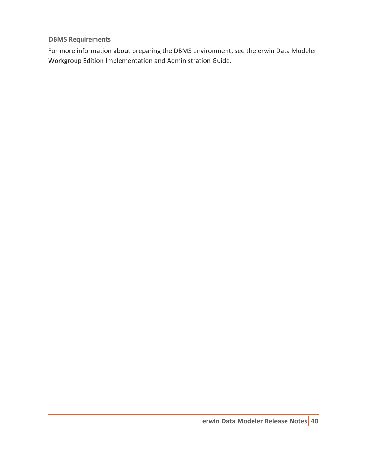**DBMS Requirements**

For more information about preparing the DBMS environment, see the erwin Data Modeler Workgroup Edition Implementation and Administration Guide.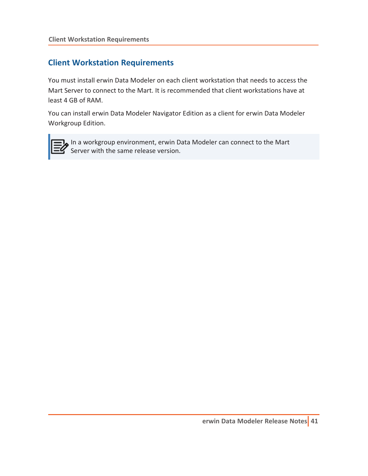#### <span id="page-40-0"></span>**Client Workstation Requirements**

You must install erwin Data Modeler on each client workstation that needs to access the Mart Server to connect to the Mart. It is recommended that client workstations have at least 4 GB of RAM.

You can install erwin Data Modeler Navigator Edition as a client for erwin Data Modeler Workgroup Edition.



In a workgroup environment, erwin Data Modeler can connect to the Mart Server with the same release version.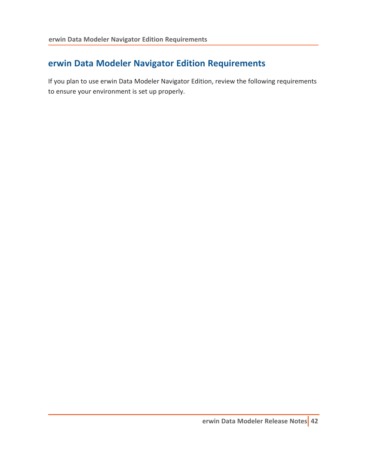#### **erwin Data Modeler Navigator Edition Requirements**

If you plan to use erwin Data Modeler Navigator Edition, review the following requirements to ensure your environment is set up properly.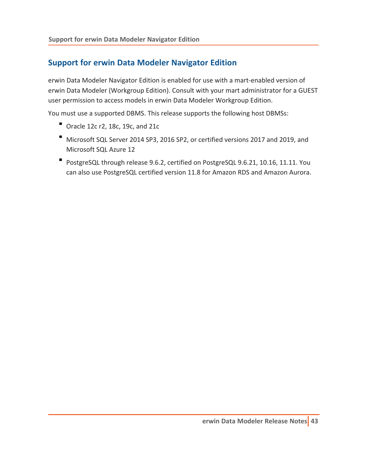#### **Support for erwin Data Modeler Navigator Edition**

erwin Data Modeler Navigator Edition is enabled for use with a mart-enabled version of erwin Data Modeler (Workgroup Edition). Consult with your mart administrator for a GUEST user permission to access models in erwin Data Modeler Workgroup Edition.

You must use a supported DBMS. This release supports the following host DBMSs:

- Oracle 12c r2, 18c, 19c, and 21c
- Microsoft SQL Server 2014 SP3, 2016 SP2, or certified versions 2017 and 2019, and Microsoft SQL Azure 12
- PostgreSQL through release 9.6.2, certified on PostgreSQL 9.6.21, 10.16, 11.11. You can also use PostgreSQL certified version 11.8 for Amazon RDS and Amazon Aurora.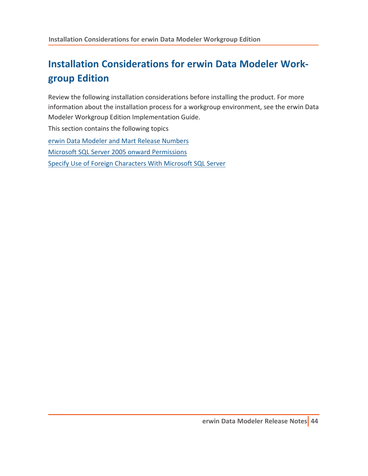# **Installation Considerations for erwin Data Modeler Workgroup Edition**

Review the following installation considerations before installing the product. For more information about the installation process for a workgroup environment, see the erwin Data Modeler Workgroup Edition Implementation Guide.

This section contains the following topics

erwin Data Modeler and Mart Release [Numbers](#page-44-0) Microsoft SQL Server 2005 onward [Permissions](#page-45-0) Specify Use of Foreign [Characters](#page-46-0) With Microsoft SQL Server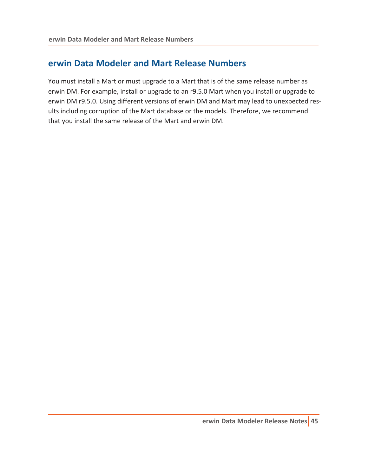#### <span id="page-44-0"></span>**erwin Data Modeler and Mart Release Numbers**

You must install a Mart or must upgrade to a Mart that is of the same release number as erwin DM. For example, install or upgrade to an r9.5.0 Mart when you install or upgrade to erwin DM r9.5.0. Using different versions of erwin DM and Mart may lead to unexpected results including corruption of the Mart database or the models. Therefore, we recommend that you install the same release of the Mart and erwin DM.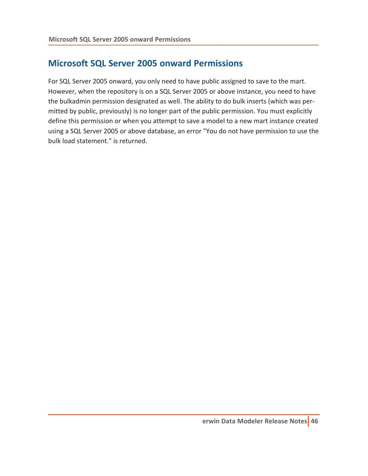#### <span id="page-45-0"></span>**Microsoft SQL Server 2005 onward Permissions**

For SQL Server 2005 onward, you only need to have public assigned to save to the mart. However, when the repository is on a SQL Server 2005 or above instance, you need to have the bulkadmin permission designated as well. The ability to do bulk inserts (which was permitted by public, previously) is no longer part of the public permission. You must explicitly define this permission or when you attempt to save a model to a new mart instance created using a SQL Server 2005 or above database, an error "You do not have permission to use the bulk load statement." is returned.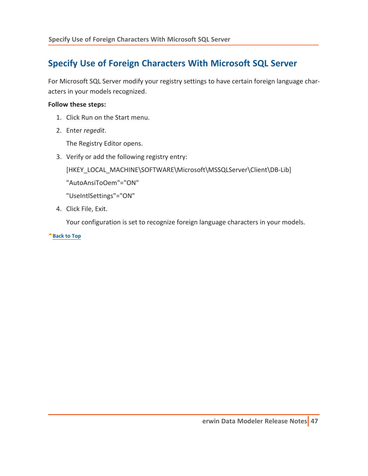### <span id="page-46-0"></span>**Specify Use of Foreign Characters With Microsoft SQL Server**

For Microsoft SQL Server modify your registry settings to have certain foreign language characters in your models recognized.

#### **Follow these steps:**

- 1. Click Run on the Start menu.
- 2. Enter *regedit*.

The Registry Editor opens.

3. Verify or add the following registry entry:

[HKEY\_LOCAL\_MACHINE\SOFTWARE\Microsoft\MSSQLServer\Client\DB-Lib]

"AutoAnsiToOem"="ON"

"UseIntlSettings"="ON"

4. Click File, Exit.

Your configuration is set to recognize foreign language characters in your models.

**[Back](#page-46-0) to Top**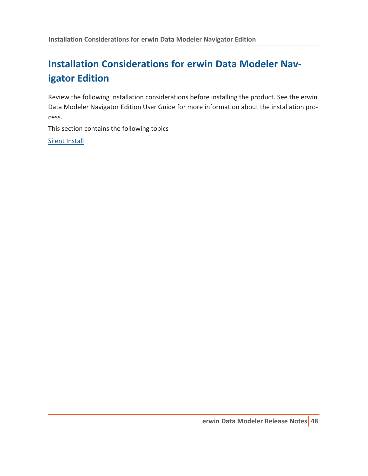# **Installation Considerations for erwin Data Modeler Navigator Edition**

Review the following installation considerations before installing the product. See the erwin Data Modeler Navigator Edition User Guide for more information about the installation process.

This section contains the following topics

Silent [Install](#page-48-0)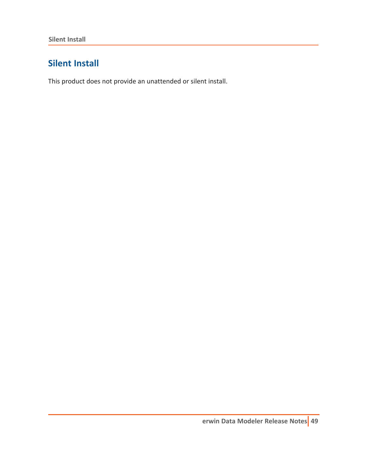### <span id="page-48-0"></span>**Silent Install**

This product does not provide an unattended or silent install.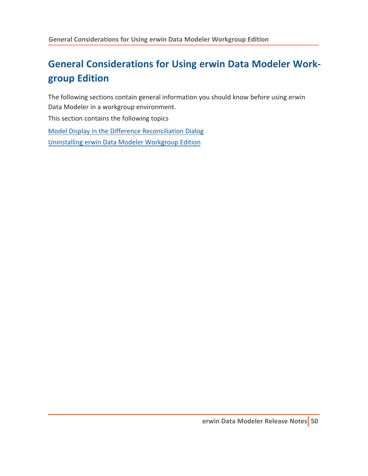# **General Considerations for Using erwin Data Modeler Workgroup Edition**

The following sections contain general information you should know before using erwin Data Modeler in a workgroup environment.

This section contains the following topics

Model Display in the Difference [Reconciliation](#page-50-0) Dialog [Uninstalling](#page-51-0) erwin Data Modeler Workgroup Edition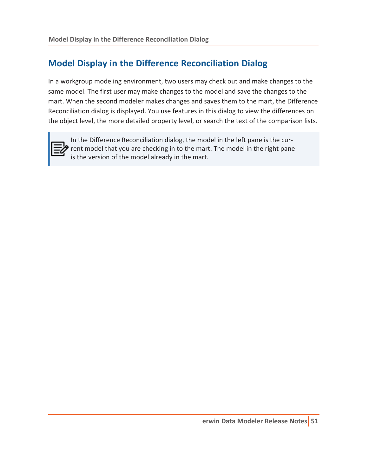#### <span id="page-50-0"></span>**Model Display in the Difference Reconciliation Dialog**

In a workgroup modeling environment, two users may check out and make changes to the same model. The first user may make changes to the model and save the changes to the mart. When the second modeler makes changes and saves them to the mart, the Difference Reconciliation dialog is displayed. You use features in this dialog to view the differences on the object level, the more detailed property level, or search the text of the comparison lists.



In the Difference Reconciliation dialog, the model in the left pane is the cur-**P** rent model that you are checking in to the mart. The model in the right pane is the version of the model already in the mart.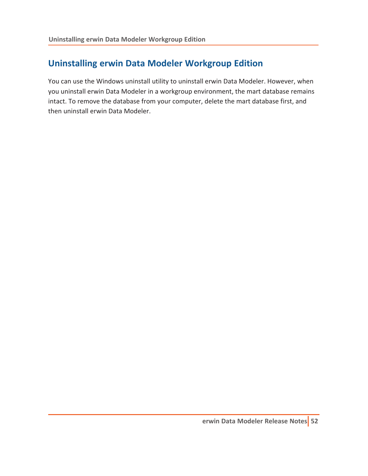### <span id="page-51-0"></span>**Uninstalling erwin Data Modeler Workgroup Edition**

You can use the Windows uninstall utility to uninstall erwin Data Modeler. However, when you uninstall erwin Data Modeler in a workgroup environment, the mart database remains intact. To remove the database from your computer, delete the mart database first, and then uninstall erwin Data Modeler.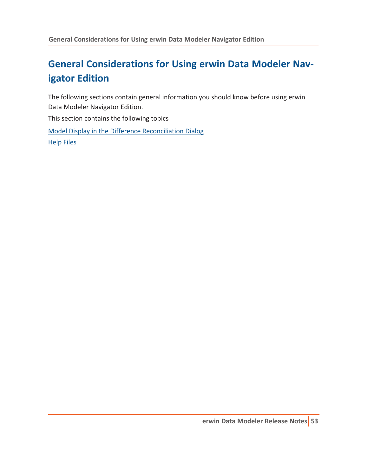# **General Considerations for Using erwin Data Modeler Navigator Edition**

The following sections contain general information you should know before using erwin Data Modeler Navigator Edition.

This section contains the following topics

Model Display in the Difference [Reconciliation](#page-53-0) Dialog [Help](#page-54-0) Files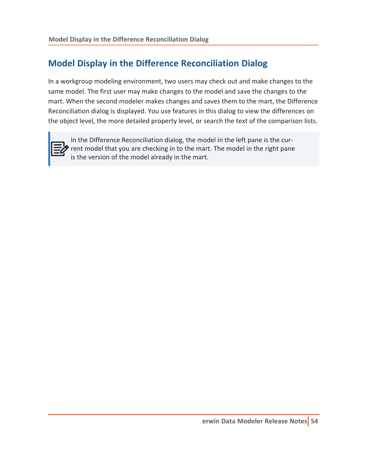#### <span id="page-53-0"></span>**Model Display in the Difference Reconciliation Dialog**

In a workgroup modeling environment, two users may check out and make changes to the same model. The first user may make changes to the model and save the changes to the mart. When the second modeler makes changes and saves them to the mart, the Difference Reconciliation dialog is displayed. You use features in this dialog to view the differences on the object level, the more detailed property level, or search the text of the comparison lists.



In the Difference Reconciliation dialog, the model in the left pane is the cur-**P** rent model that you are checking in to the mart. The model in the right pane is the version of the model already in the mart.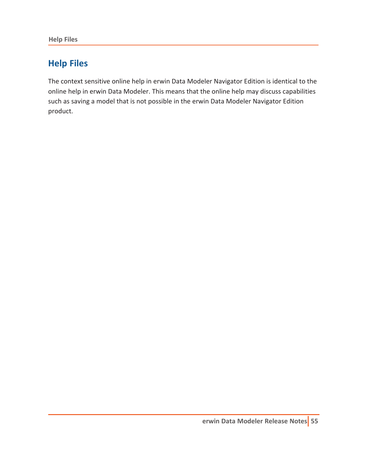<span id="page-54-0"></span>**Help Files**

### **Help Files**

The context sensitive online help in erwin Data Modeler Navigator Edition is identical to the online help in erwin Data Modeler. This means that the online help may discuss capabilities such as saving a model that is not possible in the erwin Data Modeler Navigator Edition product.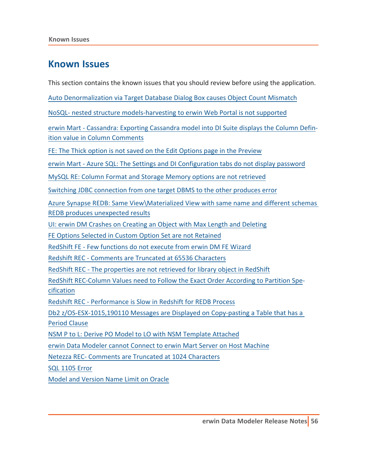#### **Known Issues**

This section contains the known issues that you should review before using the application.

Auto [Denormalization](#page-56-0) via Target Database Dialog Box causes Object Count Mismatch

NoSQL- nested structure [models-harvesting](#page-57-0) to erwin Web Portal is not supported

erwin Mart - Cassandra: Exporting Cassandra model into DI [Suite displays](#page-58-0) the Column Definition value in Column [Comments](#page-58-0)

FE: The Thick option is not saved on the Edit Options page in the [Preview](#page-59-0)

erwin Mart - Azure SQL: The Settings and DI [Configuration](#page-60-0) tabs do not display password

MySQL RE: Column Format and Storage Memory options are not [retrieved](#page-61-0)

Switching JDBC [connection](#page-62-0) from one target DBMS to the other produces error

Azure Synapse REDB: Same [View\Materialized](#page-63-0) View with same name and different schemas REDB produces [unexpected](#page-63-0) results

UI: erwin DM Crashes on [Creating](#page-64-0) an Object with Max Length and Deleting

FE Options Selected in Custom Option Set are not [Retained](#page-65-0)

RedShift FE - Few [functions](#page-66-0) do not execute from erwin DM FE Wizard

Redshift REC - [Comments](#page-67-0) are Truncated at 65536 Characters

RedShift REC - The properties are not retrieved for [library object](#page-68-0) in RedShift

RedShift [REC-Column](#page-69-0) Values need to Follow the Exact Order According to Partition Spe[cification](#page-69-0)

Redshift REC - [Performance](#page-70-0) is Slow in Redshift for REDB Process

Db2 [z/OS-ESX-1015,190110](#page-71-0) Messages are Displayed on Copy-pasting a Table that has a Period [Clause](#page-71-0)

NSM P to L: Derive PO Model to LO with NSM [Template](#page-72-0) Attached

erwin Data Modeler cannot Connect to erwin Mart Server on Host [Machine](#page-73-0)

Netezza REC- [Comments](#page-75-0) are Truncated at 1024 Characters

SQL [1105](#page-76-0) Error

Model and [Version](#page-77-0) Name Limit on Oracle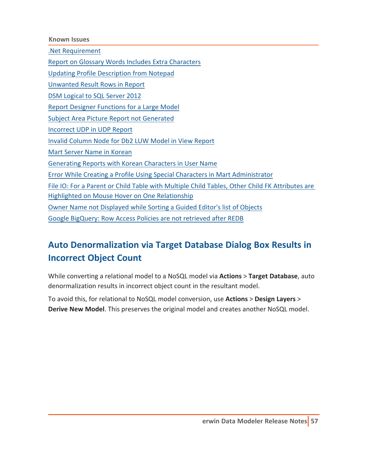**Known Issues**

.Net [Requirement](#page-78-0)

Report on Glossary Words Includes Extra [Characters](#page-79-0)

Updating Profile [Description](#page-80-0) from Notepad

[Unwanted](#page-81-0) Result Rows in Report

DSM [Logical](#page-82-0) to SQL Server 2012

Report Designer [Functions](#page-83-0) for a Large Model

Subject Area Picture Report not [Generated](#page-84-0)

[Incorrect](#page-85-0) UDP in UDP Report

Invalid [Column](#page-86-0) Node for Db2 LUW Model in View Report

Mart Server Name in [Korean](#page-87-0)

[Generating](#page-88-0) Reports with Korean Characters in User Name

Error While Creating a Profile Using Special Characters in Mart [Administrator](#page-89-0)

File IO: For a Parent or Child Table with Multiple Child Tables, Other Child FK [Attributes](#page-90-0) are

Highlighted on Mouse Hover on One [Relationship](#page-90-0)

Owner Name not [Displayed](#page-91-0) while Sorting a Guided Editor's list of Objects

<span id="page-56-0"></span>Google [BigQuery:](#page-91-1) Row Access Policies are not retrieved after REDB

### **Auto Denormalization via Target Database Dialog Box Results in Incorrect Object Count**

While converting a relational model to a NoSQL model via **Actions** > **Target Database**, auto denormalization results in incorrect object count in the resultant model.

To avoid this, for relational to NoSQL model conversion, use **Actions** > **Design Layers** > **Derive New Model**. This preserves the original model and creates another NoSQL model.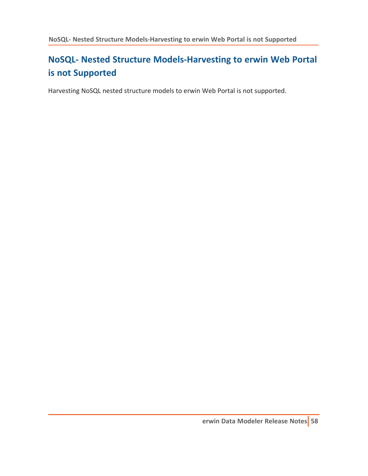# <span id="page-57-0"></span>**NoSQL- Nested Structure Models-Harvesting to erwin Web Portal is not Supported**

Harvesting NoSQL nested structure models to erwin Web Portal is not supported.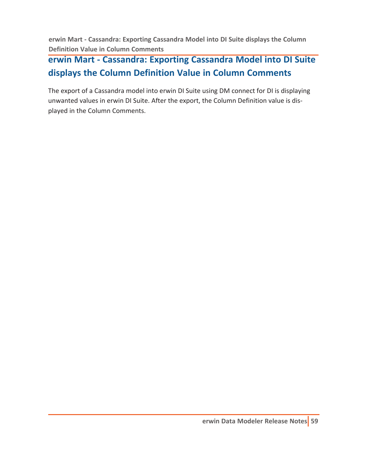<span id="page-58-0"></span>**erwin Mart - Cassandra: Exporting Cassandra Model into DI Suite displays the Column Definition Value in Column Comments**

# **erwin Mart - Cassandra: Exporting Cassandra Model into DI Suite displays the Column Definition Value in Column Comments**

The export of a Cassandra model into erwin DI Suite using DM connect for DI is displaying unwanted values in erwin DI Suite. After the export, the Column Definition value is displayed in the Column Comments.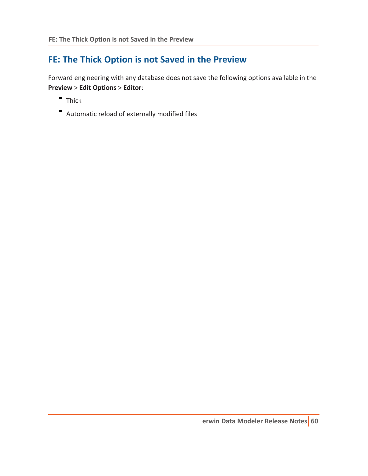### <span id="page-59-0"></span>**FE: The Thick Option is not Saved in the Preview**

Forward engineering with any database does not save the following options available in the **Preview** > **Edit Options** > **Editor**:

- **Thick**
- Automatic reload of externally modified files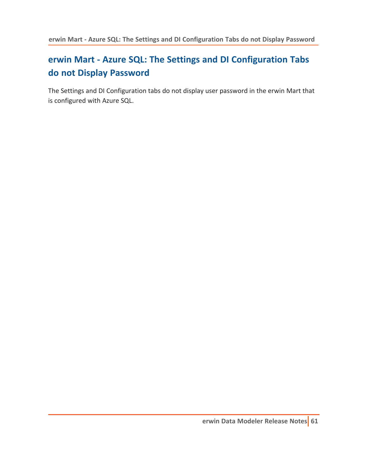# <span id="page-60-0"></span>**erwin Mart - Azure SQL: The Settings and DI Configuration Tabs do not Display Password**

The Settings and DI Configuration tabs do not display user password in the erwin Mart that is configured with Azure SQL.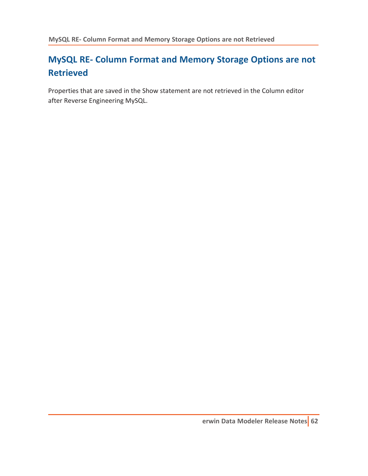# <span id="page-61-0"></span>**MySQL RE- Column Format and Memory Storage Options are not Retrieved**

Properties that are saved in the Show statement are not retrieved in the Column editor after Reverse Engineering MySQL.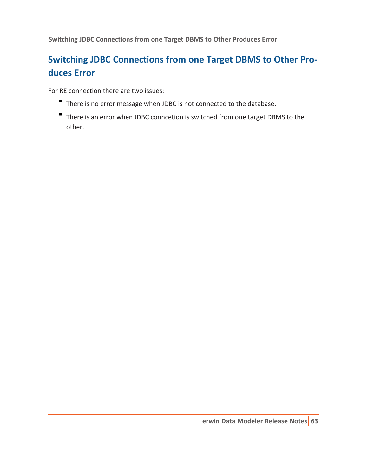# <span id="page-62-0"></span>**Switching JDBC Connections from one Target DBMS to Other Produces Error**

For RE connection there are two issues:

- There is no error message when JDBC is not connected to the database.
- There is an error when JDBC conncetion is switched from one target DBMS to the other.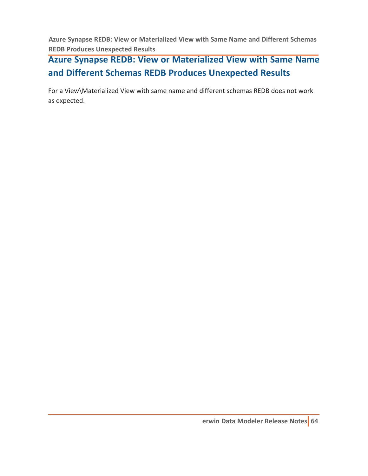<span id="page-63-0"></span>**Azure Synapse REDB: View or Materialized View with Same Name and Different Schemas REDB Produces Unexpected Results**

# **Azure Synapse REDB: View or Materialized View with Same Name and Different Schemas REDB Produces Unexpected Results**

For a View\Materialized View with same name and different schemas REDB does not work as expected.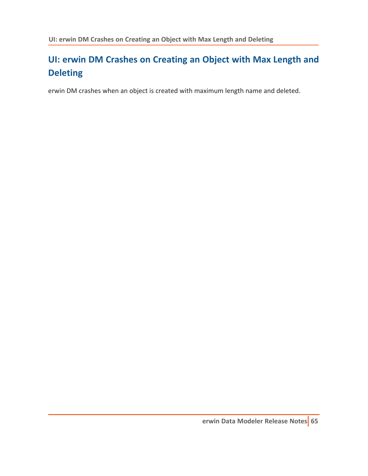# <span id="page-64-0"></span>**UI: erwin DM Crashes on Creating an Object with Max Length and Deleting**

erwin DM crashes when an object is created with maximum length name and deleted.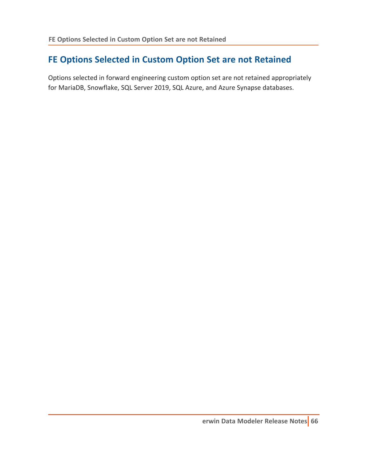#### <span id="page-65-0"></span>**FE Options Selected in Custom Option Set are not Retained**

Options selected in forward engineering custom option set are not retained appropriately for MariaDB, Snowflake, SQL Server 2019, SQL Azure, and Azure Synapse databases.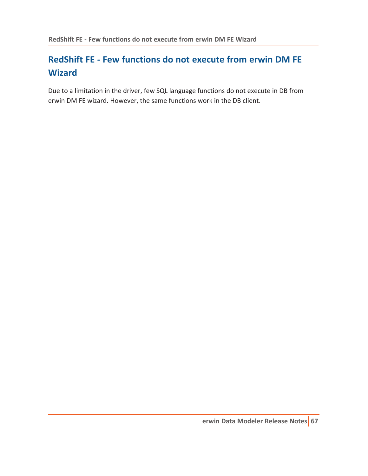# <span id="page-66-0"></span>**RedShift FE - Few functions do not execute from erwin DM FE Wizard**

Due to a limitation in the driver, few SQL language functions do not execute in DB from erwin DM FE wizard. However, the same functions work in the DB client.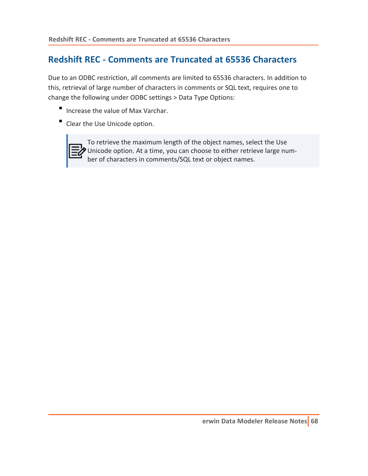#### <span id="page-67-0"></span>**Redshift REC - Comments are Truncated at 65536 Characters**

Due to an ODBC restriction, all comments are limited to 65536 characters. In addition to this, retrieval of large number of characters in comments or SQL text, requires one to change the following under ODBC settings > Data Type Options:

- Increase the value of Max Varchar.
- Clear the Use Unicode option.



To retrieve the maximum length of the object names, select the Use Unicode option. At a time, you can choose to either retrieve large number of characters in comments/SQL text or object names.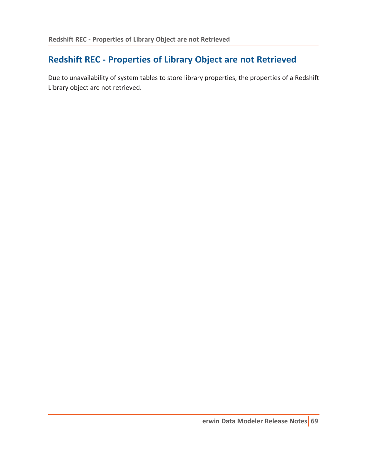### <span id="page-68-0"></span>**Redshift REC - Properties of Library Object are not Retrieved**

Due to unavailability of system tables to store library properties, the properties of a Redshift Library object are not retrieved.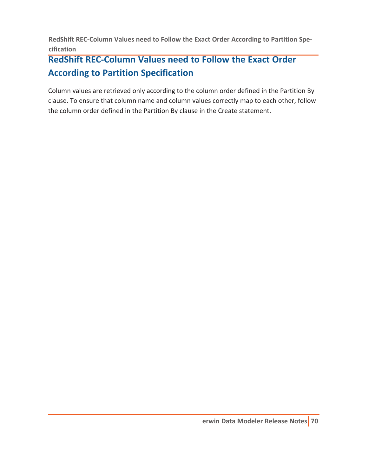<span id="page-69-0"></span>**RedShift REC-Column Values need to Follow the Exact Order According to Partition Specification**

# **RedShift REC-Column Values need to Follow the Exact Order According to Partition Specification**

Column values are retrieved only according to the column order defined in the Partition By clause. To ensure that column name and column values correctly map to each other, follow the column order defined in the Partition By clause in the Create statement.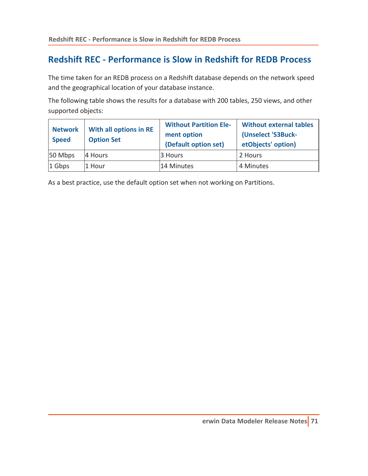#### <span id="page-70-0"></span>**Redshift REC - Performance is Slow in Redshift for REDB Process**

The time taken for an REDB process on a Redshift database depends on the network speed and the geographical location of your database instance.

The following table shows the results for a database with 200 tables, 250 views, and other supported objects:

| <b>Network</b><br><b>Speed</b> | With all options in RE<br><b>Option Set</b> | <b>Without Partition Ele-</b><br>ment option<br>(Default option set) | <b>Without external tables</b><br>(Unselect 'S3Buck-<br>etObjects' option) |
|--------------------------------|---------------------------------------------|----------------------------------------------------------------------|----------------------------------------------------------------------------|
| 50 Mbps                        | 4 Hours                                     | 3 Hours                                                              | 2 Hours                                                                    |
| $1$ Gbps                       | 1 Hour                                      | 14 Minutes                                                           | 4 Minutes                                                                  |

As a best practice, use the default option set when not working on Partitions.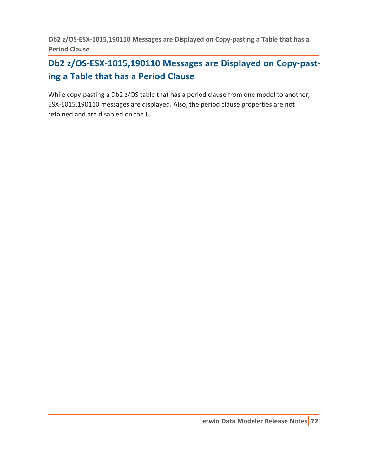<span id="page-71-0"></span>**Db2 z/OS-ESX-1015,190110 Messages are Displayed on Copy-pasting a Table that has a Period Clause**

## **Db2 z/OS-ESX-1015,190110 Messages are Displayed on Copy-pasting a Table that has a Period Clause**

While copy-pasting a Db2 z/OS table that has a period clause from one model to another, ESX-1015,190110 messages are displayed. Also, the period clause properties are not retained and are disabled on the UI.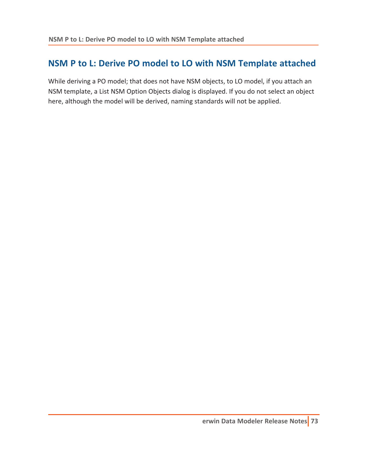### **NSM P to L: Derive PO model to LO with NSM Template attached**

While deriving a PO model; that does not have NSM objects, to LO model, if you attach an NSM template, a List NSM Option Objects dialog is displayed. If you do not select an object here, although the model will be derived, naming standards will not be applied.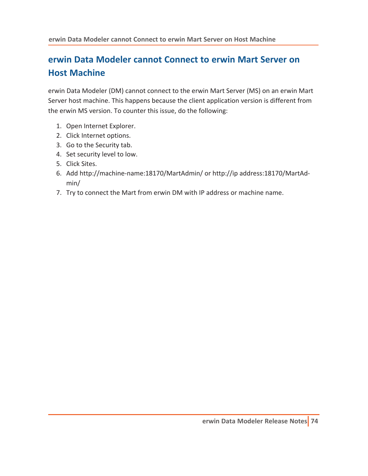# **erwin Data Modeler cannot Connect to erwin Mart Server on Host Machine**

erwin Data Modeler (DM) cannot connect to the erwin Mart Server (MS) on an erwin Mart Server host machine. This happens because the client application version is different from the erwin MS version. To counter this issue, do the following:

- 1. Open Internet Explorer.
- 2. Click Internet options.
- 3. Go to the Security tab.
- 4. Set security level to low.
- 5. Click Sites.
- 6. Add http://machine-name:18170/MartAdmin/ or http://ip address:18170/MartAdmin/
- 7. Try to connect the Mart from erwin DM with IP address or machine name.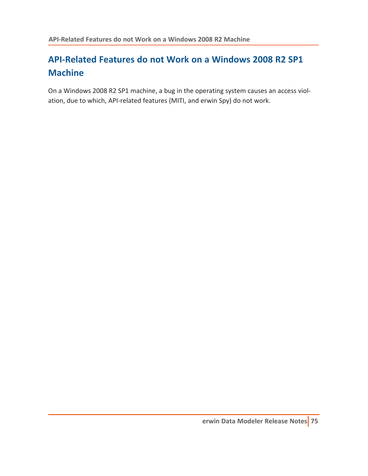# **API-Related Features do not Work on a Windows 2008 R2 SP1 Machine**

On a Windows 2008 R2 SP1 machine, a bug in the operating system causes an access violation, due to which, API-related features (MITI, and erwin Spy) do not work.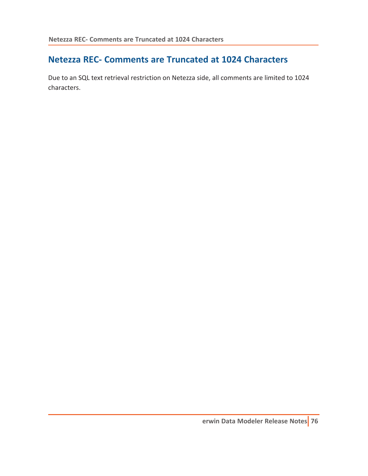### **Netezza REC- Comments are Truncated at 1024 Characters**

Due to an SQL text retrieval restriction on Netezza side, all comments are limited to 1024 characters.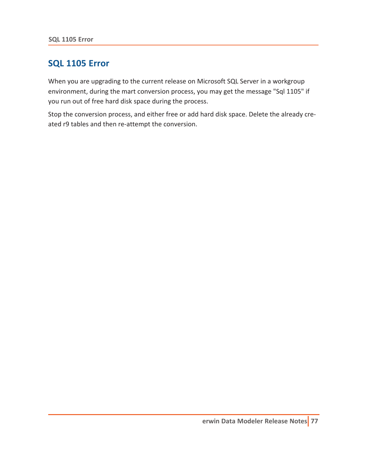#### **SQL 1105 Error**

When you are upgrading to the current release on Microsoft SQL Server in a workgroup environment, during the mart conversion process, you may get the message "Sql 1105" if you run out of free hard disk space during the process.

Stop the conversion process, and either free or add hard disk space. Delete the already created r9 tables and then re-attempt the conversion.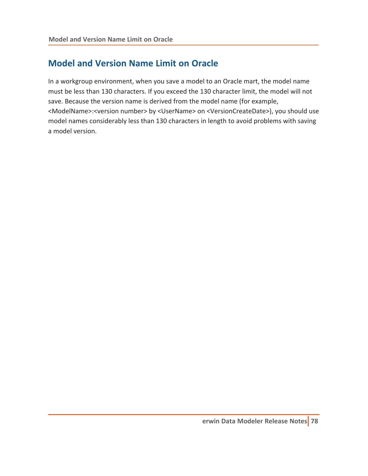### **Model and Version Name Limit on Oracle**

In a workgroup environment, when you save a model to an Oracle mart, the model name must be less than 130 characters. If you exceed the 130 character limit, the model will not save. Because the version name is derived from the model name (for example, <ModelName>:<version number> by <UserName> on <VersionCreateDate>), you should use model names considerably less than 130 characters in length to avoid problems with saving a model version.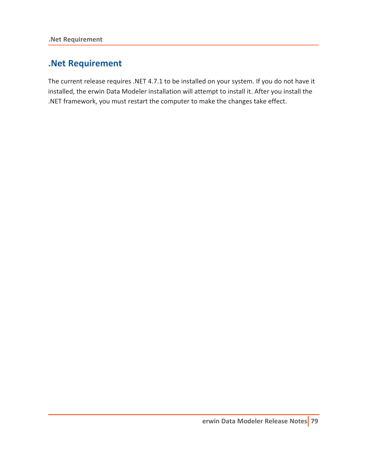### **.Net Requirement**

The current release requires .NET 4.7.1 to be installed on your system. If you do not have it installed, the erwin Data Modeler installation will attempt to install it. After you install the .NET framework, you must restart the computer to make the changes take effect.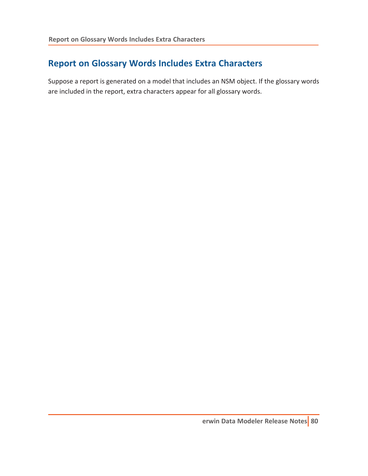## **Report on Glossary Words Includes Extra Characters**

Suppose a report is generated on a model that includes an NSM object. If the glossary words are included in the report, extra characters appear for all glossary words.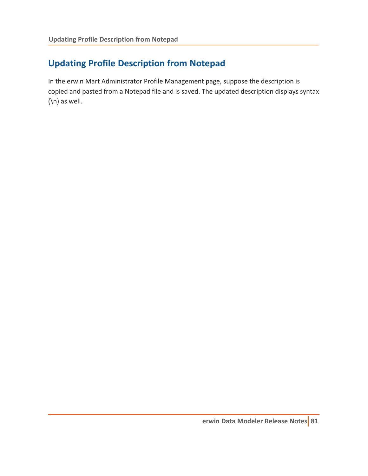# **Updating Profile Description from Notepad**

In the erwin Mart Administrator Profile Management page, suppose the description is copied and pasted from a Notepad file and is saved. The updated description displays syntax (\n) as well.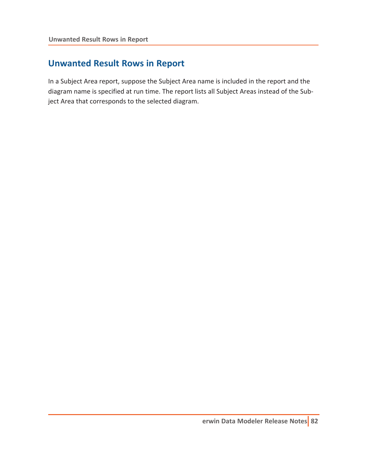### **Unwanted Result Rows in Report**

In a Subject Area report, suppose the Subject Area name is included in the report and the diagram name is specified at run time. The report lists all Subject Areas instead of the Subject Area that corresponds to the selected diagram.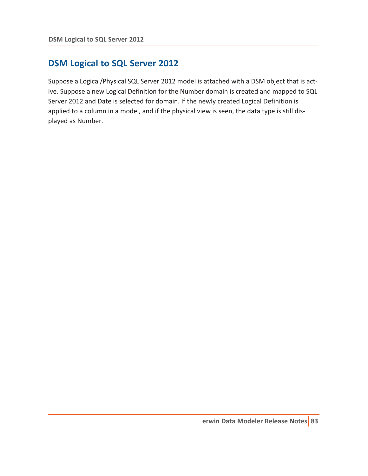### **DSM Logical to SQL Server 2012**

Suppose a Logical/Physical SQL Server 2012 model is attached with a DSM object that is active. Suppose a new Logical Definition for the Number domain is created and mapped to SQL Server 2012 and Date is selected for domain. If the newly created Logical Definition is applied to a column in a model, and if the physical view is seen, the data type is still displayed as Number.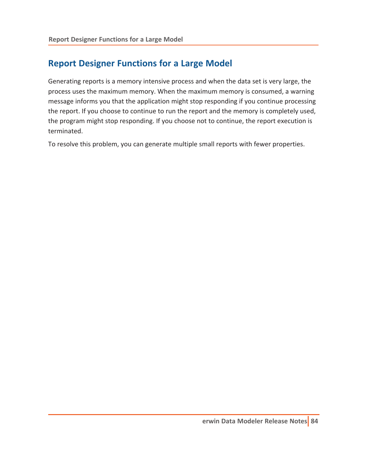### **Report Designer Functions for a Large Model**

Generating reports is a memory intensive process and when the data set is very large, the process uses the maximum memory. When the maximum memory is consumed, a warning message informs you that the application might stop responding if you continue processing the report. If you choose to continue to run the report and the memory is completely used, the program might stop responding. If you choose not to continue, the report execution is terminated.

To resolve this problem, you can generate multiple small reports with fewer properties.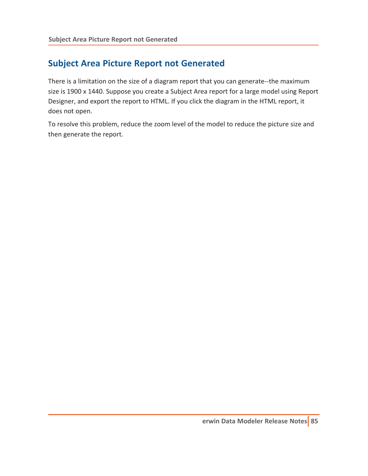### **Subject Area Picture Report not Generated**

There is a limitation on the size of a diagram report that you can generate--the maximum size is 1900 x 1440. Suppose you create a Subject Area report for a large model using Report Designer, and export the report to HTML. If you click the diagram in the HTML report, it does not open.

To resolve this problem, reduce the zoom level of the model to reduce the picture size and then generate the report.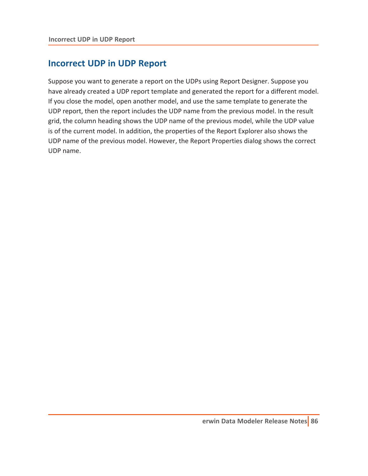#### **Incorrect UDP in UDP Report**

Suppose you want to generate a report on the UDPs using Report Designer. Suppose you have already created a UDP report template and generated the report for a different model. If you close the model, open another model, and use the same template to generate the UDP report, then the report includes the UDP name from the previous model. In the result grid, the column heading shows the UDP name of the previous model, while the UDP value is of the current model. In addition, the properties of the Report Explorer also shows the UDP name of the previous model. However, the Report Properties dialog shows the correct UDP name.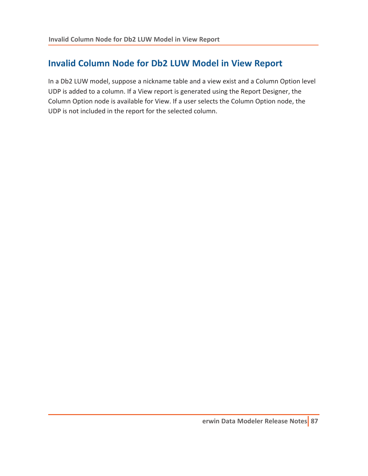# **Invalid Column Node for Db2 LUW Model in View Report**

In a Db2 LUW model, suppose a nickname table and a view exist and a Column Option level UDP is added to a column. If a View report is generated using the Report Designer, the Column Option node is available for View. If a user selects the Column Option node, the UDP is not included in the report for the selected column.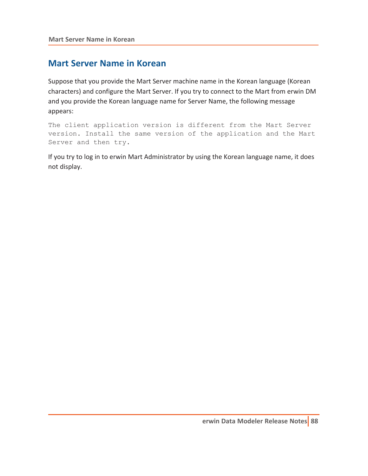#### **Mart Server Name in Korean**

Suppose that you provide the Mart Server machine name in the Korean language (Korean characters) and configure the Mart Server. If you try to connect to the Mart from erwin DM and you provide the Korean language name for Server Name, the following message appears:

The client application version is different from the Mart Server version. Install the same version of the application and the Mart Server and then try.

If you try to log in to erwin Mart Administrator by using the Korean language name, it does not display.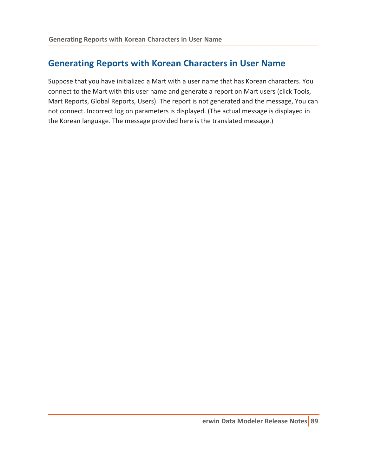### **Generating Reports with Korean Characters in User Name**

Suppose that you have initialized a Mart with a user name that has Korean characters. You connect to the Mart with this user name and generate a report on Mart users (click Tools, Mart Reports, Global Reports, Users). The report is not generated and the message, You can not connect. Incorrect log on parameters is displayed. (The actual message is displayed in the Korean language. The message provided here is the translated message.)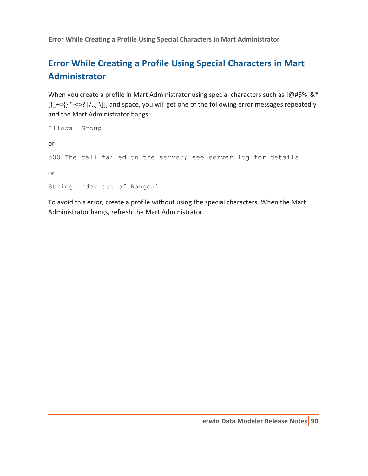# **Error While Creating a Profile Using Special Characters in Mart Administrator**

When you create a profile in Mart Administrator using special characters such as !@#\$%ˆ&\*  $()$  +={}:"-<>?|/.,;'\[], and space, you will get one of the following error messages repeatedly and the Mart Administrator hangs.

```
Illegal Group
or
500 The call failed on the server; see server log for details
or
String index out of Range:1
```
To avoid this error, create a profile without using the special characters. When the Mart Administrator hangs, refresh the Mart Administrator.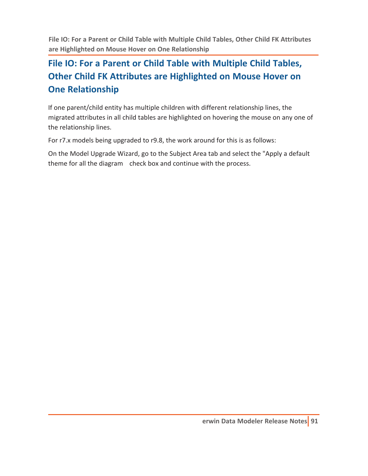**File IO: For a Parent or Child Table with Multiple Child Tables, Other Child FK Attributes are Highlighted on Mouse Hover on One Relationship**

# **File IO: For a Parent or Child Table with Multiple Child Tables, Other Child FK Attributes are Highlighted on Mouse Hover on One Relationship**

If one parent/child entity has multiple children with different relationship lines, the migrated attributes in all child tables are highlighted on hovering the mouse on any one of the relationship lines.

For r7.x models being upgraded to r9.8, the work around for this is as follows:

On the Model Upgrade Wizard, go to the Subject Area tab and select the "Apply a default theme for all the diagram check box and continue with the process.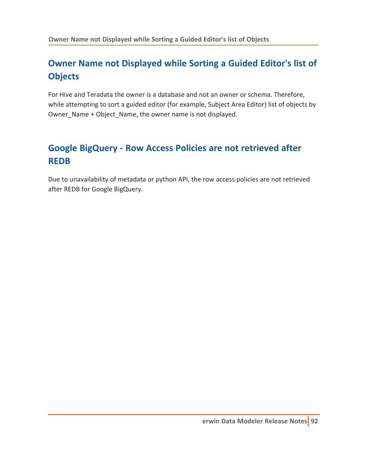# **Owner Name not Displayed while Sorting a Guided Editor's list of Objects**

For Hive and Teradata the owner is a database and not an owner or schema. Therefore, while attempting to sort a guided editor (for example, Subject Area Editor) list of objects by Owner\_Name + Object\_Name, the owner name is not displayed.

# **Google BigQuery - Row Access Policies are not retrieved after REDB**

Due to unavailability of metadata or python API, the row access policies are not retrieved after REDB for Google BigQuery.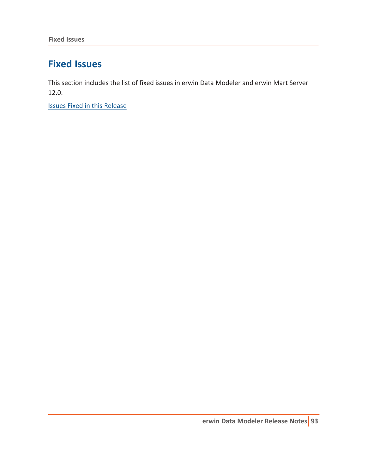# **Fixed Issues**

This section includes the list of fixed issues in erwin Data Modeler and erwin Mart Server 12.0.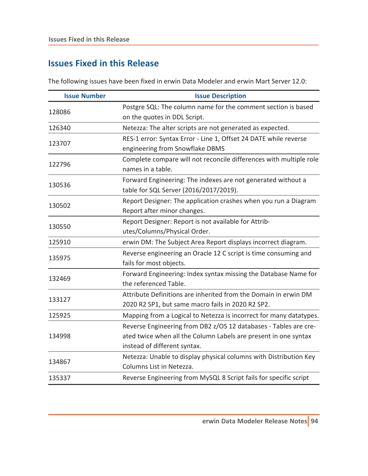<span id="page-93-0"></span>The following issues have been fixed in erwin Data Modeler and erwin Mart Server 12.0:

| <b>Issue Number</b> | <b>Issue Description</b>                                           |
|---------------------|--------------------------------------------------------------------|
| 128086              | Postgre SQL: The column name for the comment section is based      |
|                     | on the quotes in DDL Script.                                       |
| 126340              | Netezza: The alter scripts are not generated as expected.          |
| 123707              | RES-1 error: Syntax Error - Line 1, Offset 24 DATE while reverse   |
|                     | engineering from Snowflake DBMS                                    |
| 122796              | Complete compare will not reconcile differences with multiple role |
|                     | names in a table.                                                  |
|                     | Forward Engineering: The indexes are not generated without a       |
| 130536              | table for SQL Server (2016/2017/2019).                             |
| 130502              | Report Designer: The application crashes when you run a Diagram    |
|                     | Report after minor changes.                                        |
| 130550              | Report Designer: Report is not available for Attrib-               |
|                     | utes/Columns/Physical Order.                                       |
| 125910              | erwin DM: The Subject Area Report displays incorrect diagram.      |
| 135975              | Reverse engineering an Oracle 12 C script is time consuming and    |
|                     | fails for most objects.                                            |
| 132469              | Forward Engineering: Index syntax missing the Database Name for    |
|                     | the referenced Table.                                              |
|                     | Attribute Definitions are inherited from the Domain in erwin DM    |
| 133127              | 2020 R2 SP1, but same macro fails in 2020 R2 SP2.                  |
| 125925              | Mapping from a Logical to Netezza is incorrect for many datatypes. |
|                     | Reverse Engineering from DB2 z/OS 12 databases - Tables are cre-   |
| 134998              | ated twice when all the Column Labels are present in one syntax    |
|                     | instead of different syntax.                                       |
| 134867              | Netezza: Unable to display physical columns with Distribution Key  |
|                     | Columns List in Netezza.                                           |
| 135337              | Reverse Engineering from MySQL 8 Script fails for specific script  |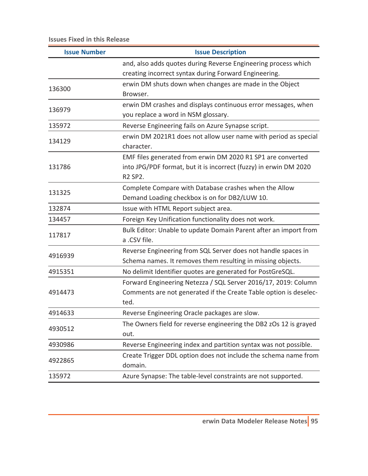| <b>Issue Number</b> | <b>Issue Description</b>                                          |
|---------------------|-------------------------------------------------------------------|
|                     | and, also adds quotes during Reverse Engineering process which    |
|                     | creating incorrect syntax during Forward Engineering.             |
| 136300              | erwin DM shuts down when changes are made in the Object           |
|                     | Browser.                                                          |
| 136979              | erwin DM crashes and displays continuous error messages, when     |
|                     | you replace a word in NSM glossary.                               |
| 135972              | Reverse Engineering fails on Azure Synapse script.                |
| 134129              | erwin DM 2021R1 does not allow user name with period as special   |
|                     | character.                                                        |
|                     | EMF files generated from erwin DM 2020 R1 SP1 are converted       |
| 131786              | into JPG/PDF format, but it is incorrect (fuzzy) in erwin DM 2020 |
|                     | R2 SP2.                                                           |
| 131325              | Complete Compare with Database crashes when the Allow             |
|                     | Demand Loading checkbox is on for DB2/LUW 10.                     |
| 132874              | Issue with HTML Report subject area.                              |
| 134457              | Foreign Key Unification functionality does not work.              |
| 117817              | Bulk Editor: Unable to update Domain Parent after an import from  |
|                     | a .CSV file.                                                      |
| 4916939             | Reverse Engineering from SQL Server does not handle spaces in     |
|                     | Schema names. It removes them resulting in missing objects.       |
| 4915351             | No delimit Identifier quotes are generated for PostGreSQL.        |
|                     | Forward Engineering Netezza / SQL Server 2016/17, 2019: Column    |
| 4914473             | Comments are not generated if the Create Table option is deselec- |
|                     | ted.                                                              |
| 4914633             | Reverse Engineering Oracle packages are slow.                     |
| 4930512             | The Owners field for reverse engineering the DB2 zOs 12 is grayed |
|                     | out.                                                              |
| 4930986             | Reverse Engineering index and partition syntax was not possible.  |
| 4922865             | Create Trigger DDL option does not include the schema name from   |
|                     | domain.                                                           |
| 135972              | Azure Synapse: The table-level constraints are not supported.     |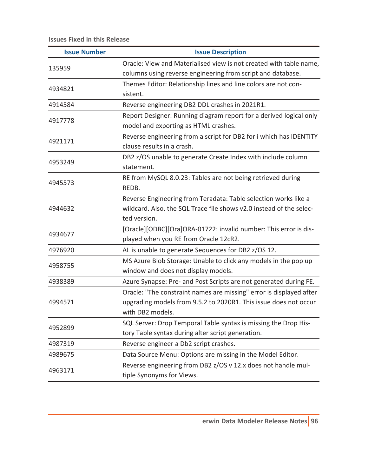| <b>Issue Number</b> | <b>Issue Description</b>                                            |
|---------------------|---------------------------------------------------------------------|
| 135959              | Oracle: View and Materialised view is not created with table name,  |
|                     | columns using reverse engineering from script and database.         |
| 4934821             | Themes Editor: Relationship lines and line colors are not con-      |
|                     | sistent.                                                            |
| 4914584             | Reverse engineering DB2 DDL crashes in 2021R1.                      |
| 4917778             | Report Designer: Running diagram report for a derived logical only  |
|                     | model and exporting as HTML crashes.                                |
|                     | Reverse engineering from a script for DB2 for i which has IDENTITY  |
| 4921171             | clause results in a crash.                                          |
| 4953249             | DB2 z/OS unable to generate Create Index with include column        |
|                     | statement.                                                          |
| 4945573             | RE from MySQL 8.0.23: Tables are not being retrieved during         |
|                     | REDB.                                                               |
|                     | Reverse Engineering from Teradata: Table selection works like a     |
| 4944632             | wildcard. Also, the SQL Trace file shows v2.0 instead of the selec- |
|                     | ted version.                                                        |
| 4934677             | [Oracle][ODBC][Ora]ORA-01722: invalid number: This error is dis-    |
|                     | played when you RE from Oracle 12cR2.                               |
| 4976920             | AL is unable to generate Sequences for DB2 z/OS 12.                 |
|                     | MS Azure Blob Storage: Unable to click any models in the pop up     |
| 4958755             | window and does not display models.                                 |
| 4938389             | Azure Synapse: Pre- and Post Scripts are not generated during FE.   |
| 4994571             | Oracle: "The constraint names are missing" error is displayed after |
|                     | upgrading models from 9.5.2 to 2020R1. This issue does not occur    |
|                     | with DB2 models.                                                    |
|                     | SQL Server: Drop Temporal Table syntax is missing the Drop His-     |
| 4952899             | tory Table syntax during alter script generation.                   |
| 4987319             | Reverse engineer a Db2 script crashes.                              |
| 4989675             | Data Source Menu: Options are missing in the Model Editor.          |
| 4963171             | Reverse engineering from DB2 z/OS v 12.x does not handle mul-       |
|                     | tiple Synonyms for Views.                                           |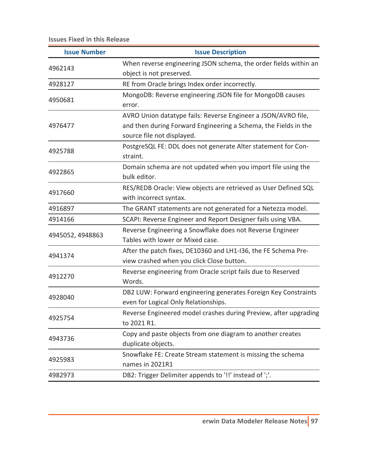| <b>Issue Number</b> | <b>Issue Description</b>                                         |
|---------------------|------------------------------------------------------------------|
| 4962143             | When reverse engineering JSON schema, the order fields within an |
|                     | object is not preserved.                                         |
| 4928127             | RE from Oracle brings Index order incorrectly.                   |
| 4950681             | MongoDB: Reverse engineering JSON file for MongoDB causes        |
|                     | error.                                                           |
|                     | AVRO Union datatype fails: Reverse Engineer a JSON/AVRO file,    |
| 4976477             | and then during Forward Engineering a Schema, the Fields in the  |
|                     | source file not displayed.                                       |
| 4925788             | PostgreSQL FE: DDL does not generate Alter statement for Con-    |
|                     | straint.                                                         |
| 4922865             | Domain schema are not updated when you import file using the     |
|                     | bulk editor.                                                     |
| 4917660             | RES/REDB Oracle: View objects are retrieved as User Defined SQL  |
|                     | with incorrect syntax.                                           |
| 4916897             | The GRANT statements are not generated for a Netezza model.      |
| 4914166             | SCAPI: Reverse Engineer and Report Designer fails using VBA.     |
|                     | Reverse Engineering a Snowflake does not Reverse Engineer        |
| 4945052, 4948863    | Tables with lower or Mixed case.                                 |
|                     | After the patch fixes, DE10360 and LH1-I36, the FE Schema Pre-   |
| 4941374             | view crashed when you click Close button.                        |
|                     | Reverse engineering from Oracle script fails due to Reserved     |
| 4912270             | Words.                                                           |
| 4928040             | DB2 LUW: Forward engineering generates Foreign Key Constraints   |
|                     | even for Logical Only Relationships.                             |
|                     | Reverse Engineered model crashes during Preview, after upgrading |
| 4925754             | to 2021 R1.                                                      |
| 4943736             | Copy and paste objects from one diagram to another creates       |
|                     | duplicate objects.                                               |
| 4925983             | Snowflake FE: Create Stream statement is missing the schema      |
|                     | names in 2021R1                                                  |
| 4982973             | DB2: Trigger Delimiter appends to '!!' instead of ';'.           |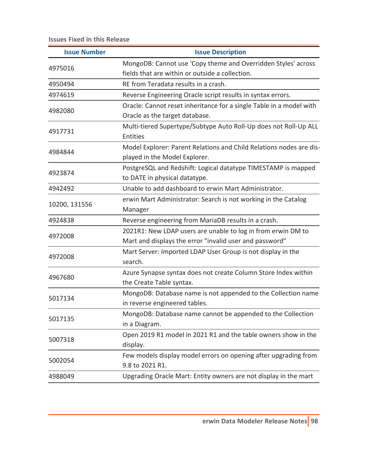| <b>Issue Number</b> | <b>Issue Description</b>                                            |
|---------------------|---------------------------------------------------------------------|
| 4975016             | MongoDB: Cannot use 'Copy theme and Overridden Styles' across       |
|                     | fields that are within or outside a collection.                     |
| 4950494             | RE from Teradata results in a crash.                                |
| 4974619             | Reverse Engineering Oracle script results in syntax errors.         |
|                     | Oracle: Cannot reset inheritance for a single Table in a model with |
| 4982080             | Oracle as the target database.                                      |
| 4917731             | Multi-tiered Supertype/Subtype Auto Roll-Up does not Roll-Up ALL    |
|                     | Entities                                                            |
| 4984844             | Model Explorer: Parent Relations and Child Relations nodes are dis- |
|                     | played in the Model Explorer.                                       |
| 4923874             | PostgreSQL and Redshift: Logical datatype TIMESTAMP is mapped       |
|                     | to DATE in physical datatype.                                       |
| 4942492             | Unable to add dashboard to erwin Mart Administrator.                |
| 10200, 131556       | erwin Mart Administrator: Search is not working in the Catalog      |
|                     | Manager                                                             |
| 4924838             | Reverse engineering from MariaDB results in a crash.                |
| 4972008             | 2021R1: New LDAP users are unable to log in from erwin DM to        |
|                     | Mart and displays the error "invalid user and password"             |
| 4972008             | Mart Server: Imported LDAP User Group is not display in the         |
|                     | search.                                                             |
| 4967680             | Azure Synapse syntax does not create Column Store Index within      |
|                     | the Create Table syntax.                                            |
| 5017134             | MongoDB: Database name is not appended to the Collection name       |
|                     | in reverse engineered tables.                                       |
| 5017135             | MongoDB: Database name cannot be appended to the Collection         |
|                     | in a Diagram.                                                       |
| 5007318             | Open 2019 R1 model in 2021 R1 and the table owners show in the      |
|                     | display.                                                            |
| 5002054             | Few models display model errors on opening after upgrading from     |
|                     | 9.8 to 2021 R1.                                                     |
| 4988049             | Upgrading Oracle Mart: Entity owners are not display in the mart    |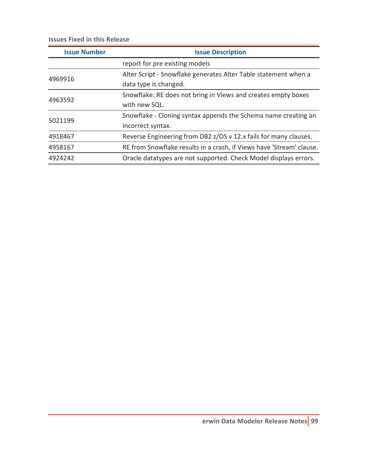| <b>Issue Number</b> | <b>Issue Description</b>                                             |
|---------------------|----------------------------------------------------------------------|
|                     | report for pre existing models                                       |
| 4969916             | Alter Script - Snowflake generates Alter Table statement when a      |
|                     | data type is changed.                                                |
| 4963592             | Snowflake: RE does not bring in Views and creates empty boxes        |
|                     | with new SQL.                                                        |
| 5021199             | Snowflake - Cloning syntax appends the Schema name creating an       |
|                     | incorrect syntax.                                                    |
| 4918467             | Reverse Engineering from DB2 z/OS v 12.x fails for many clauses.     |
| 4958167             | RE from Snowflake results in a crash, if Views have 'Stream' clause. |
| 4924242             | Oracle datatypes are not supported. Check Model displays errors.     |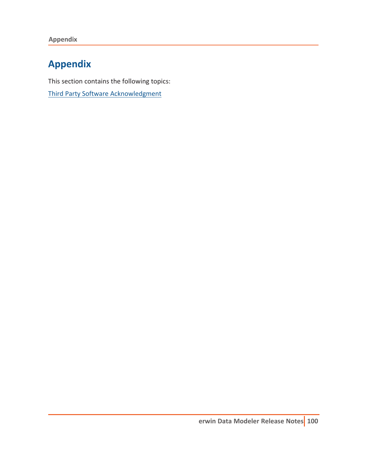**Appendix**

# **Appendix**

This section contains the following topics:

Third Party Software [Acknowledgment](#page-100-0)